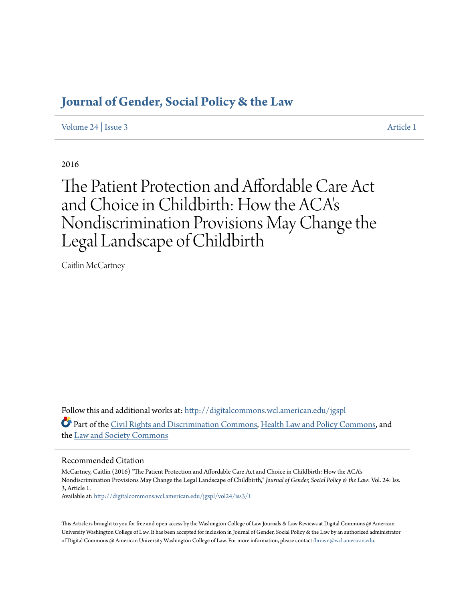## **[Journal of Gender, Social Policy & the Law](http://digitalcommons.wcl.american.edu/jgspl?utm_source=digitalcommons.wcl.american.edu%2Fjgspl%2Fvol24%2Fiss3%2F1&utm_medium=PDF&utm_campaign=PDFCoverPages)**

[Volume 24](http://digitalcommons.wcl.american.edu/jgspl/vol24?utm_source=digitalcommons.wcl.american.edu%2Fjgspl%2Fvol24%2Fiss3%2F1&utm_medium=PDF&utm_campaign=PDFCoverPages) | [Issue 3](http://digitalcommons.wcl.american.edu/jgspl/vol24/iss3?utm_source=digitalcommons.wcl.american.edu%2Fjgspl%2Fvol24%2Fiss3%2F1&utm_medium=PDF&utm_campaign=PDFCoverPages) [Article 1](http://digitalcommons.wcl.american.edu/jgspl/vol24/iss3/1?utm_source=digitalcommons.wcl.american.edu%2Fjgspl%2Fvol24%2Fiss3%2F1&utm_medium=PDF&utm_campaign=PDFCoverPages)

2016

# The Patient Protection and Affordable Care Act and Choice in Childbirth: How the ACA' s Nondiscrimination Provisions May Change the Legal Landscape of Childbirth

Caitlin McCartney

Follow this and additional works at: [http://digitalcommons.wcl.american.edu/jgspl](http://digitalcommons.wcl.american.edu/jgspl?utm_source=digitalcommons.wcl.american.edu%2Fjgspl%2Fvol24%2Fiss3%2F1&utm_medium=PDF&utm_campaign=PDFCoverPages) Part of the [Civil Rights and Discrimination Commons,](http://network.bepress.com/hgg/discipline/585?utm_source=digitalcommons.wcl.american.edu%2Fjgspl%2Fvol24%2Fiss3%2F1&utm_medium=PDF&utm_campaign=PDFCoverPages) [Health Law and Policy Commons,](http://network.bepress.com/hgg/discipline/901?utm_source=digitalcommons.wcl.american.edu%2Fjgspl%2Fvol24%2Fiss3%2F1&utm_medium=PDF&utm_campaign=PDFCoverPages) and the [Law and Society Commons](http://network.bepress.com/hgg/discipline/853?utm_source=digitalcommons.wcl.american.edu%2Fjgspl%2Fvol24%2Fiss3%2F1&utm_medium=PDF&utm_campaign=PDFCoverPages)

### Recommended Citation

McCartney, Caitlin (2016) "The Patient Protection and Affordable Care Act and Choice in Childbirth: How the ACA's Nondiscrimination Provisions May Change the Legal Landscape of Childbirth," *Journal of Gender, Social Policy & the Law*: Vol. 24: Iss. 3, Article 1.

Available at: [http://digitalcommons.wcl.american.edu/jgspl/vol24/iss3/1](http://digitalcommons.wcl.american.edu/jgspl/vol24/iss3/1?utm_source=digitalcommons.wcl.american.edu%2Fjgspl%2Fvol24%2Fiss3%2F1&utm_medium=PDF&utm_campaign=PDFCoverPages)

This Article is brought to you for free and open access by the Washington College of Law Journals & Law Reviews at Digital Commons @ American University Washington College of Law. It has been accepted for inclusion in Journal of Gender, Social Policy & the Law by an authorized administrator of Digital Commons @ American University Washington College of Law. For more information, please contact [fbrown@wcl.american.edu.](mailto:fbrown@wcl.american.edu)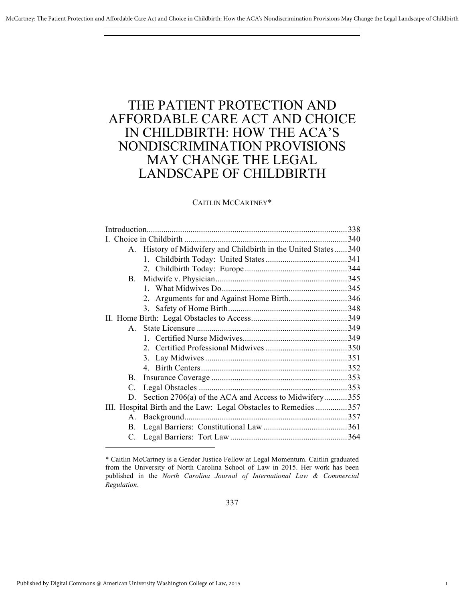# THE PATIENT PROTECTION AND AFFORDABLE CARE ACT AND CHOICE IN CHILDBIRTH: HOW THE ACA'S NONDISCRIMINATION PROVISIONS MAY CHANGE THE LEGAL LANDSCAPE OF CHILDBIRTH

### CAITLIN MCCARTNEY\*

|           | A. History of Midwifery and Childbirth in the United States340   |  |
|-----------|------------------------------------------------------------------|--|
|           |                                                                  |  |
|           |                                                                  |  |
| <b>B.</b> |                                                                  |  |
|           |                                                                  |  |
|           | Arguments for and Against Home Birth346<br>2                     |  |
|           |                                                                  |  |
|           |                                                                  |  |
| $A_{1}$   |                                                                  |  |
|           |                                                                  |  |
|           |                                                                  |  |
|           | 3.                                                               |  |
|           |                                                                  |  |
|           |                                                                  |  |
| $C_{-}$   |                                                                  |  |
| D.        | Section 2706(a) of the ACA and Access to Midwifery355            |  |
|           | III. Hospital Birth and the Law: Legal Obstacles to Remedies 357 |  |
| $A_{-}$   |                                                                  |  |
| B.        |                                                                  |  |
|           |                                                                  |  |

1

<sup>\*</sup> Caitlin McCartney is a Gender Justice Fellow at Legal Momentum. Caitlin graduated from the University of North Carolina School of Law in 2015. Her work has been published in the *North Carolina Journal of International Law & Commercial Regulation*.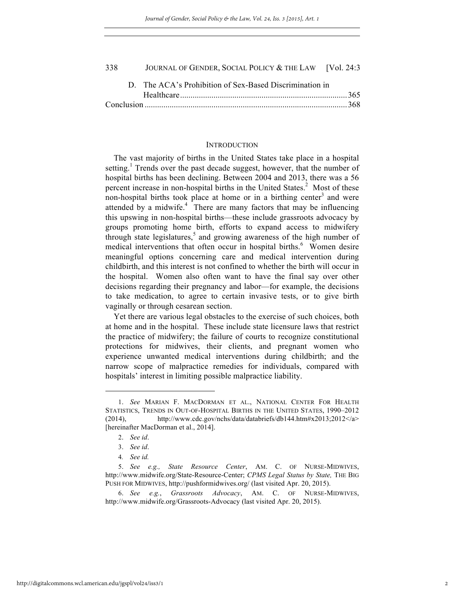| 338 |  | JOURNAL OF GENDER, SOCIAL POLICY & THE LAW [Vol. 24:3]  |  |
|-----|--|---------------------------------------------------------|--|
|     |  | D. The ACA's Prohibition of Sex-Based Discrimination in |  |
|     |  |                                                         |  |
|     |  |                                                         |  |

#### INTRODUCTION

The vast majority of births in the United States take place in a hospital setting.<sup>1</sup> Trends over the past decade suggest, however, that the number of hospital births has been declining. Between 2004 and 2013, there was a 56 percent increase in non-hospital births in the United States. $2$  Most of these non-hospital births took place at home or in a birthing center<sup>3</sup> and were attended by a midwife. $\frac{4}{1}$  There are many factors that may be influencing this upswing in non-hospital births—these include grassroots advocacy by groups promoting home birth, efforts to expand access to midwifery through state legislatures,<sup>5</sup> and growing awareness of the high number of medical interventions that often occur in hospital births.<sup>6</sup> Women desire meaningful options concerning care and medical intervention during childbirth, and this interest is not confined to whether the birth will occur in the hospital. Women also often want to have the final say over other decisions regarding their pregnancy and labor—for example, the decisions to take medication, to agree to certain invasive tests, or to give birth vaginally or through cesarean section.

Yet there are various legal obstacles to the exercise of such choices, both at home and in the hospital. These include state licensure laws that restrict the practice of midwifery; the failure of courts to recognize constitutional protections for midwives, their clients, and pregnant women who experience unwanted medical interventions during childbirth; and the narrow scope of malpractice remedies for individuals, compared with hospitals' interest in limiting possible malpractice liability.

<sup>1.</sup> *See* MARIAN F. MACDORMAN ET AL., NATIONAL CENTER FOR HEALTH STATISTICS, TRENDS IN OUT-OF-HOSPITAL BIRTHS IN THE UNITED STATES, 1990–2012  $(2014)$ , http://www.cdc.gov/nchs/data/databriefs/db144.htm#x2013;2012</a> [hereinafter MacDorman et al., 2014].

<sup>2.</sup> *See id*.

<sup>3.</sup> *See id*.

<sup>4</sup>*. See id.* 

<sup>5.</sup> *See e.g., State Resource Center*, AM. C. OF NURSE-MIDWIVES, http://www.midwife.org/State-Resource-Center; *CPMS Legal Status by State,* THE BIG PUSH FOR MIDWIVES, http://pushformidwives.org/ (last visited Apr. 20, 2015).

<sup>6.</sup> *See e.g.*, *Grassroots Advocacy*, AM. C. OF NURSE-MIDWIVES, http://www.midwife.org/Grassroots-Advocacy (last visited Apr. 20, 2015).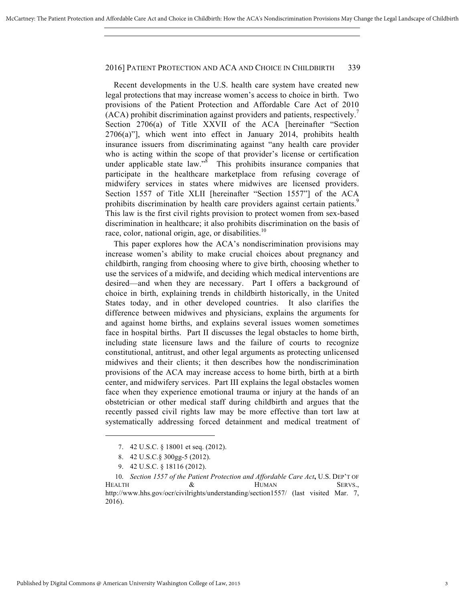Recent developments in the U.S. health care system have created new legal protections that may increase women's access to choice in birth. Two provisions of the Patient Protection and Affordable Care Act of 2010  $(ACA)$  prohibit discrimination against providers and patients, respectively.<sup>7</sup> Section 2706(a) of Title XXVII of the ACA [hereinafter "Section 2706(a)"], which went into effect in January 2014, prohibits health insurance issuers from discriminating against "any health care provider who is acting within the scope of that provider's license or certification under applicable state law.<sup>38</sup> This prohibits insurance companies that participate in the healthcare marketplace from refusing coverage of midwifery services in states where midwives are licensed providers. Section 1557 of Title XLII [hereinafter "Section 1557"] of the ACA prohibits discrimination by health care providers against certain patients.<sup>9</sup> This law is the first civil rights provision to protect women from sex-based discrimination in healthcare; it also prohibits discrimination on the basis of race, color, national origin, age, or disabilities.<sup>10</sup>

This paper explores how the ACA's nondiscrimination provisions may increase women's ability to make crucial choices about pregnancy and childbirth, ranging from choosing where to give birth, choosing whether to use the services of a midwife, and deciding which medical interventions are desired—and when they are necessary. Part I offers a background of choice in birth, explaining trends in childbirth historically, in the United States today, and in other developed countries. It also clarifies the difference between midwives and physicians, explains the arguments for and against home births, and explains several issues women sometimes face in hospital births. Part II discusses the legal obstacles to home birth, including state licensure laws and the failure of courts to recognize constitutional, antitrust, and other legal arguments as protecting unlicensed midwives and their clients; it then describes how the nondiscrimination provisions of the ACA may increase access to home birth, birth at a birth center, and midwifery services. Part III explains the legal obstacles women face when they experience emotional trauma or injury at the hands of an obstetrician or other medical staff during childbirth and argues that the recently passed civil rights law may be more effective than tort law at systematically addressing forced detainment and medical treatment of

<sup>7.</sup> 42 U.S.C. § 18001 et seq. (2012).

<sup>8.</sup> 42 U.S.C.§ 300gg-5 (2012).

<sup>9.</sup> 42 U.S.C. § 18116 (2012).

<sup>10.</sup> *Section 1557 of the Patient Protection and Affordable Care Act***,** U.S. DEP'T OF HEALTH  $\&$  HUMAN SERVS., http://www.hhs.gov/ocr/civilrights/understanding/section1557/ (last visited Mar. 7, 2016).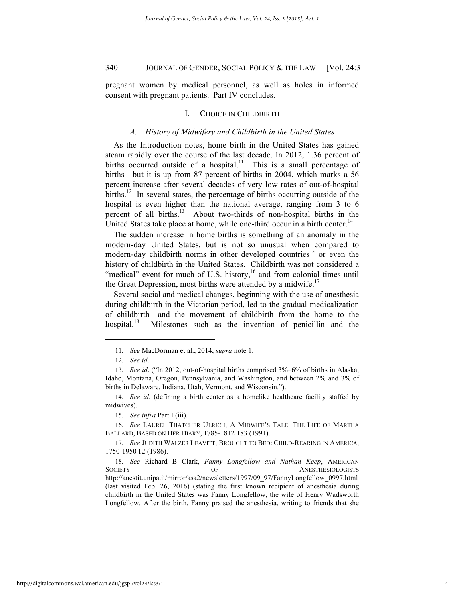pregnant women by medical personnel, as well as holes in informed consent with pregnant patients. Part IV concludes.

#### I. CHOICE IN CHILDBIRTH

#### *A. History of Midwifery and Childbirth in the United States*

As the Introduction notes, home birth in the United States has gained steam rapidly over the course of the last decade. In 2012, 1.36 percent of births occurred outside of a hospital.<sup>11</sup> This is a small percentage of births—but it is up from 87 percent of births in 2004, which marks a 56 percent increase after several decades of very low rates of out-of-hospital births.<sup>12</sup> In several states, the percentage of births occurring outside of the hospital is even higher than the national average, ranging from 3 to 6 percent of all births. $13$  About two-thirds of non-hospital births in the United States take place at home, while one-third occur in a birth center.<sup>14</sup>

The sudden increase in home births is something of an anomaly in the modern-day United States, but is not so unusual when compared to modern-day childbirth norms in other developed countries<sup>15</sup> or even the history of childbirth in the United States. Childbirth was not considered a "medical" event for much of U.S. history, $16$  and from colonial times until the Great Depression, most births were attended by a midwife.<sup>17</sup>

Several social and medical changes, beginning with the use of anesthesia during childbirth in the Victorian period, led to the gradual medicalization of childbirth—and the movement of childbirth from the home to the hospital.<sup>18</sup> Milestones such as the invention of penicillin and the

<sup>11.</sup> *See* MacDorman et al., 2014, *supra* note 1.

<sup>12.</sup> *See id*.

<sup>13.</sup> *See id*. ("In 2012, out-of-hospital births comprised 3%–6% of births in Alaska, Idaho, Montana, Oregon, Pennsylvania, and Washington, and between 2% and 3% of births in Delaware, Indiana, Utah, Vermont, and Wisconsin.").

<sup>14.</sup> *See id.* (defining a birth center as a homelike healthcare facility staffed by midwives).

<sup>15.</sup> *See infra* Part I (iii).

<sup>16.</sup> *See* LAUREL THATCHER ULRICH, A MIDWIFE'S TALE: THE LIFE OF MARTHA BALLARD, BASED ON HER DIARY, 1785-1812 183 (1991).

<sup>17.</sup> *See* JUDITH WALZER LEAVITT, BROUGHT TO BED: CHILD-REARING IN AMERICA, 1750-1950 12 (1986).

<sup>18.</sup> *See* Richard B Clark, *Fanny Longfellow and Nathan Keep*, AMERICAN SOCIETY OF OF ANESTHESIOLOGISTS http://anestit.unipa.it/mirror/asa2/newsletters/1997/09\_97/FannyLongfellow\_0997.html (last visited Feb. 26, 2016) (stating the first known recipient of anesthesia during childbirth in the United States was Fanny Longfellow, the wife of Henry Wadsworth Longfellow. After the birth, Fanny praised the anesthesia, writing to friends that she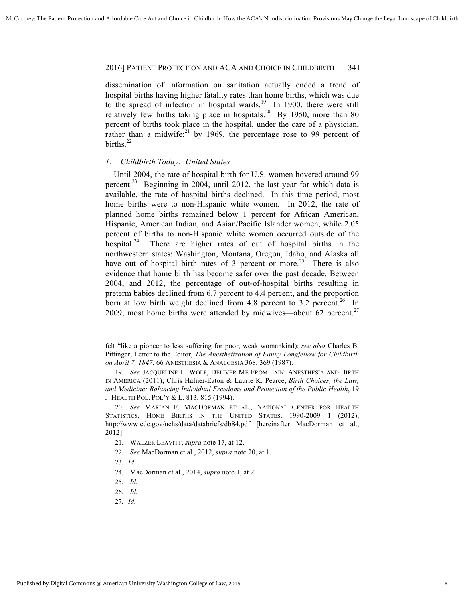dissemination of information on sanitation actually ended a trend of hospital births having higher fatality rates than home births, which was due to the spread of infection in hospital wards.<sup>19</sup> In 1900, there were still relatively few births taking place in hospitals.<sup>20</sup> By 1950, more than 80 percent of births took place in the hospital, under the care of a physician, rather than a midwife;<sup>21</sup> by 1969, the percentage rose to 99 percent of births $^{22}$ 

### *1. Childbirth Today: United States*

Until 2004, the rate of hospital birth for U.S. women hovered around 99 percent.<sup>23</sup> Beginning in 2004, until 2012, the last year for which data is available, the rate of hospital births declined. In this time period, most home births were to non-Hispanic white women. In 2012, the rate of planned home births remained below 1 percent for African American, Hispanic, American Indian, and Asian/Pacific Islander women, while 2.05 percent of births to non-Hispanic white women occurred outside of the hospital.<sup>24</sup> There are higher rates of out of hospital births in the northwestern states: Washington, Montana, Oregon, Idaho, and Alaska all have out of hospital birth rates of 3 percent or more.<sup>25</sup> There is also evidence that home birth has become safer over the past decade. Between 2004, and 2012, the percentage of out-of-hospital births resulting in preterm babies declined from 6.7 percent to 4.4 percent, and the proportion born at low birth weight declined from 4.8 percent to 3.2 percent.<sup>26</sup> In 2009, most home births were attended by midwives—about 62 percent.<sup>27</sup>

 $\overline{a}$ 

27*. Id.* 

felt "like a pioneer to less suffering for poor, weak womankind); *see also* Charles B. Pittinger, Letter to the Editor, *The Anesthetization of Fanny Longfellow for Childbirth on April 7, 1847*, 66 ANESTHESIA & ANALGESIA 368, 369 (1987).

<sup>19.</sup> *See* JACQUELINE H. WOLF, DELIVER ME FROM PAIN: ANESTHESIA AND BIRTH IN AMERICA (2011); Chris Hafner-Eaton & Laurie K. Pearce, *Birth Choices, the Law, and Medicine: Balancing Individual Freedoms and Protection of the Public Health*, 19 J. HEALTH POL. POL'Y & L. 813, 815 (1994).

<sup>20.</sup> *See* MARIAN F. MACDORMAN ET AL., NATIONAL CENTER FOR HEALTH STATISTICS, HOME BIRTHS IN THE UNITED STATES: 1990-2009 1 (2012), http://www.cdc.gov/nchs/data/databriefs/db84.pdf [hereinafter MacDorman et al., 2012].

<sup>21.</sup> WALZER LEAVITT, *supra* note 17, at 12.

<sup>22.</sup> *See* MacDorman et al., 2012, *supra* note 20, at 1.

<sup>23</sup>*. Id*.

<sup>24.</sup> MacDorman et al., 2014, *supra* note 1, at 2.

<sup>25</sup>*. Id.*

<sup>26.</sup> *Id.*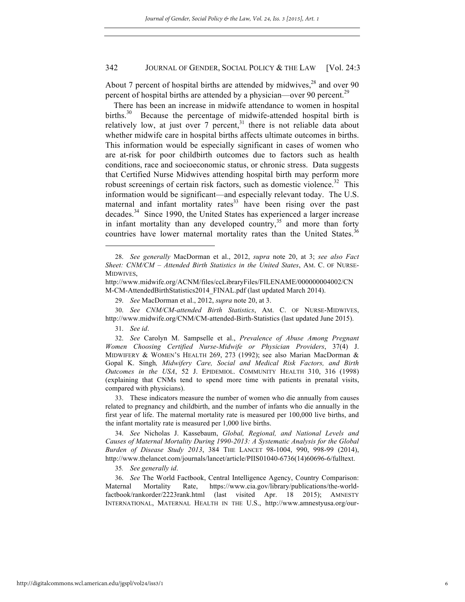About 7 percent of hospital births are attended by midwives, $28$  and over 90 percent of hospital births are attended by a physician—over 90 percent.<sup>29</sup>

There has been an increase in midwife attendance to women in hospital births. $30$  Because the percentage of midwife-attended hospital birth is relatively low, at just over 7 percent, $31$  there is not reliable data about whether midwife care in hospital births affects ultimate outcomes in births. This information would be especially significant in cases of women who are at-risk for poor childbirth outcomes due to factors such as health conditions, race and socioeconomic status, or chronic stress. Data suggests that Certified Nurse Midwives attending hospital birth may perform more robust screenings of certain risk factors, such as domestic violence.<sup>32</sup> This information would be significant—and especially relevant today. The U.S. maternal and infant mortality rates $33$  have been rising over the past decades.34 Since 1990, the United States has experienced a larger increase in infant mortality than any developed country,<sup>35</sup> and more than forty countries have lower maternal mortality rates than the United States.<sup>3</sup>

31. *See id*.

 $\overline{a}$ 

33. These indicators measure the number of women who die annually from causes related to pregnancy and childbirth, and the number of infants who die annually in the first year of life. The maternal mortality rate is measured per 100,000 live births, and the infant mortality rate is measured per 1,000 live births.

34. *See* Nicholas J. Kassebaum, *Global, Regional, and National Levels and Causes of Maternal Mortality During 1990-2013: A Systematic Analysis for the Global Burden of Disease Study 2013*, 384 THE LANCET 98-1004, 990, 998-99 (2014), http://www.thelancet.com/journals/lancet/article/PIIS01040-6736(14)60696-6/fulltext.

35*. See generally id*.

36. *See* The World Factbook, Central Intelligence Agency, Country Comparison: Maternal Mortality Rate, https://www.cia.gov/library/publications/the-worldfactbook/rankorder/2223rank.html (last visited Apr. 18 2015); AMNESTY INTERNATIONAL, MATERNAL HEALTH IN THE U.S., http://www.amnestyusa.org/our-

<sup>28.</sup> *See generally* MacDorman et al., 2012, *supra* note 20, at 3; *see also Fact Sheet: CNM/CM – Attended Birth Statistics in the United States*, AM. C. OF NURSE-MIDWIVES,

http://www.midwife.org/ACNM/files/ccLibraryFiles/FILENAME/000000004002/CN M-CM-AttendedBirthStatistics2014\_FINAL.pdf (last updated March 2014).

<sup>29.</sup> *See* MacDorman et al., 2012, *supra* note 20, at 3.

<sup>30.</sup> *See CNM/CM-attended Birth Statistics*, AM. C. OF NURSE-MIDWIVES, http://www.midwife.org/CNM/CM-attended-Birth-Statistics (last updated June 2015).

<sup>32.</sup> *See* Carolyn M. Sampselle et al., *Prevalence of Abuse Among Pregnant Women Choosing Certified Nurse-Midwife or Physician Providers*, 37(4) J. MIDWIFERY & WOMEN'S HEALTH 269, 273 (1992); see also Marian MacDorman & Gopal K. Singh*, Midwifery Care, Social and Medical Risk Factors, and Birth Outcomes in the USA*, 52 J. EPIDEMIOL. COMMUNITY HEALTH 310, 316 (1998) (explaining that CNMs tend to spend more time with patients in prenatal visits, compared with physicians).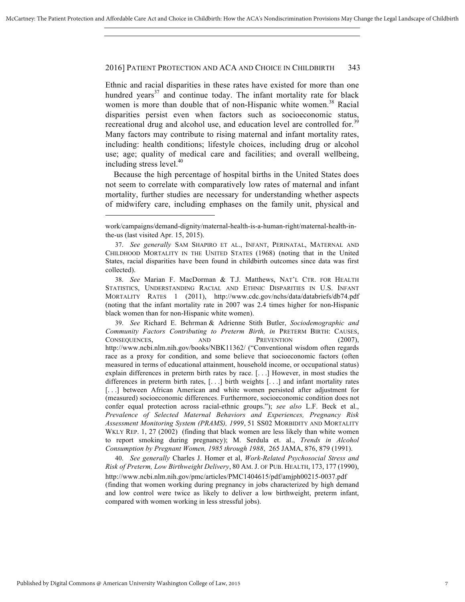Ethnic and racial disparities in these rates have existed for more than one hundred years<sup>37</sup> and continue today. The infant mortality rate for black women is more than double that of non-Hispanic white women.<sup>38</sup> Racial disparities persist even when factors such as socioeconomic status, recreational drug and alcohol use, and education level are controlled for.<sup>39</sup> Many factors may contribute to rising maternal and infant mortality rates, including: health conditions; lifestyle choices, including drug or alcohol use; age; quality of medical care and facilities; and overall wellbeing, including stress level.<sup>40</sup>

Because the high percentage of hospital births in the United States does not seem to correlate with comparatively low rates of maternal and infant mortality, further studies are necessary for understanding whether aspects of midwifery care, including emphases on the family unit, physical and

39. *See* Richard E. Behrman & Adrienne Stith Butler, *Sociodemographic and Community Factors Contributing to Preterm Birth, in* PRETERM BIRTH: CAUSES, CONSEQUENCES, AND PREVENTION (2007), http://www.ncbi.nlm.nih.gov/books/NBK11362/ ("Conventional wisdom often regards race as a proxy for condition, and some believe that socioeconomic factors (often measured in terms of educational attainment, household income, or occupational status) explain differences in preterm birth rates by race. [. . .] However, in most studies the differences in preterm birth rates, [. . .] birth weights [. . .] and infant mortality rates [...] between African American and white women persisted after adjustment for (measured) socioeconomic differences. Furthermore, socioeconomic condition does not confer equal protection across racial-ethnic groups."); *see also* L.F. Beck et al., *Prevalence of Selected Maternal Behaviors and Experiences, Pregnancy Risk Assessment Monitoring System (PRAMS), 1999*, 51 SS02 MORBIDITY AND MORTALITY WKLY REP. 1, 27 (2002) (finding that black women are less likely than white women to report smoking during pregnancy); M. Serdula et. al., *Trends in Alcohol Consumption by Pregnant Women, 1985 through 1988*, 265 JAMA, 876, 879 (1991).

40. *See generally* Charles J. Homer et al, *Work-Related Psychosocial Stress and Risk of Preterm, Low Birthweight Delivery*, 80 AM. J. OF PUB. HEALTH, 173, 177 (1990), http://www.ncbi.nlm.nih.gov/pmc/articles/PMC1404615/pdf/amjph00215-0037.pdf (finding that women working during pregnancy in jobs characterized by high demand and low control were twice as likely to deliver a low birthweight, preterm infant, compared with women working in less stressful jobs).

work/campaigns/demand-dignity/maternal-health-is-a-human-right/maternal-health-inthe-us (last visited Apr. 15, 2015).

<sup>37.</sup> *See generally* SAM SHAPIRO ET AL., INFANT, PERINATAL, MATERNAL AND CHILDHOOD MORTALITY IN THE UNITED STATES (1968) (noting that in the United States, racial disparities have been found in childbirth outcomes since data was first collected).

<sup>38.</sup> *See* Marian F. MacDorman & T.J. Matthews, NAT'L CTR. FOR HEALTH STATISTICS, UNDERSTANDING RACIAL AND ETHNIC DISPARITIES IN U.S. INFANT MORTALITY RATES 1 (2011), http://www.cdc.gov/nchs/data/databriefs/db74.pdf (noting that the infant mortality rate in 2007 was 2.4 times higher for non-Hispanic black women than for non-Hispanic white women).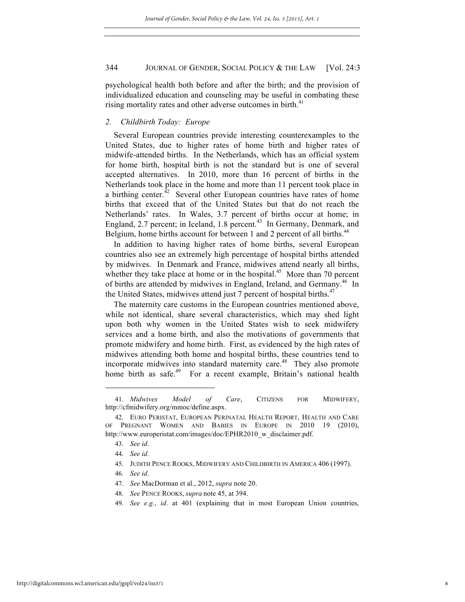psychological health both before and after the birth; and the provision of individualized education and counseling may be useful in combating these rising mortality rates and other adverse outcomes in birth.<sup>41</sup>

### *2. Childbirth Today: Europe*

Several European countries provide interesting counterexamples to the United States, due to higher rates of home birth and higher rates of midwife-attended births. In the Netherlands, which has an official system for home birth, hospital birth is not the standard but is one of several accepted alternatives. In 2010, more than 16 percent of births in the Netherlands took place in the home and more than 11 percent took place in a birthing center.<sup>42</sup> Several other European countries have rates of home births that exceed that of the United States but that do not reach the Netherlands' rates. In Wales, 3.7 percent of births occur at home; in England, 2.7 percent; in Iceland, 1.8 percent.<sup>43</sup> In Germany, Denmark, and Belgium, home births account for between 1 and 2 percent of all births.<sup>44</sup>

In addition to having higher rates of home births, several European countries also see an extremely high percentage of hospital births attended by midwives. In Denmark and France, midwives attend nearly all births, whether they take place at home or in the hospital.<sup>45</sup> More than 70 percent of births are attended by midwives in England, Ireland, and Germany.<sup>46</sup> In the United States, midwives attend just 7 percent of hospital births.<sup>47</sup>

The maternity care customs in the European countries mentioned above, while not identical, share several characteristics, which may shed light upon both why women in the United States wish to seek midwifery services and a home birth, and also the motivations of governments that promote midwifery and home birth. First, as evidenced by the high rates of midwives attending both home and hospital births, these countries tend to incorporate midwives into standard maternity care.<sup>48</sup> They also promote home birth as safe.<sup>49</sup> For a recent example, Britain's national health

 $\overline{a}$ 

49. *See e.g.*, *id*. at 401 (explaining that in most European Union countries,

<sup>41.</sup> *Midwives Model of Care*, CITIZENS FOR MIDWIFERY, http://cfmidwifery.org/mmoc/define.aspx.

<sup>42.</sup> EURO PERISTAT, EUROPEAN PERINATAL HEALTH REPORT, HEALTH AND CARE OF PREGNANT WOMEN AND BABIES IN EUROPE IN 2010 19 (2010), http://www.europeristat.com/images/doc/EPHR2010\_w\_disclaimer.pdf.

<sup>43.</sup> *See id*.

<sup>44.</sup> *See id.*

<sup>45.</sup> JUDITH PENCE ROOKS, MIDWIFERY AND CHILDBIRTH IN AMERICA 406 (1997).

<sup>46</sup>*. See id*.

<sup>47.</sup> *See* MacDorman et al., 2012, *supra* note 20.

<sup>48.</sup> *See* PENCE ROOKS, *supra* note 45, at 394.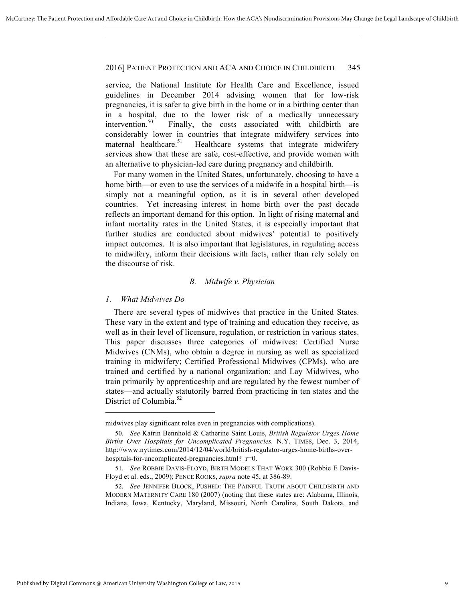service, the National Institute for Health Care and Excellence, issued guidelines in December 2014 advising women that for low-risk pregnancies, it is safer to give birth in the home or in a birthing center than in a hospital, due to the lower risk of a medically unnecessary intervention.<sup>50</sup> Finally, the costs associated with childbirth are considerably lower in countries that integrate midwifery services into maternal healthcare.<sup>51</sup> Healthcare systems that integrate midwifery services show that these are safe, cost-effective, and provide women with an alternative to physician-led care during pregnancy and childbirth.

For many women in the United States, unfortunately, choosing to have a home birth—or even to use the services of a midwife in a hospital birth—is simply not a meaningful option, as it is in several other developed countries. Yet increasing interest in home birth over the past decade reflects an important demand for this option. In light of rising maternal and infant mortality rates in the United States, it is especially important that further studies are conducted about midwives' potential to positively impact outcomes. It is also important that legislatures, in regulating access to midwifery, inform their decisions with facts, rather than rely solely on the discourse of risk.

#### *B. Midwife v. Physician*

#### *1. What Midwives Do*

There are several types of midwives that practice in the United States. These vary in the extent and type of training and education they receive, as well as in their level of licensure, regulation, or restriction in various states. This paper discusses three categories of midwives: Certified Nurse Midwives (CNMs), who obtain a degree in nursing as well as specialized training in midwifery; Certified Professional Midwives (CPMs), who are trained and certified by a national organization; and Lay Midwives, who train primarily by apprenticeship and are regulated by the fewest number of states—and actually statutorily barred from practicing in ten states and the District of Columbia.<sup>52</sup>

midwives play significant roles even in pregnancies with complications).

<sup>50.</sup> *See* Katrin Bennhold & Catherine Saint Louis, *British Regulator Urges Home Births Over Hospitals for Uncomplicated Pregnancies,* N.Y. TIMES, Dec. 3, 2014, http://www.nytimes.com/2014/12/04/world/british-regulator-urges-home-births-overhospitals-for-uncomplicated-pregnancies.html? $r=0$ .

<sup>51.</sup> *See* ROBBIE DAVIS-FLOYD, BIRTH MODELS THAT WORK 300 (Robbie E Davis-Floyd et al. eds., 2009); PENCE ROOKS, *supra* note 45, at 386-89.

<sup>52.</sup> *See* JENNIFER BLOCK, PUSHED: THE PAINFUL TRUTH ABOUT CHILDBIRTH AND MODERN MATERNITY CARE 180 (2007) (noting that these states are: Alabama, Illinois, Indiana, Iowa, Kentucky, Maryland, Missouri, North Carolina, South Dakota, and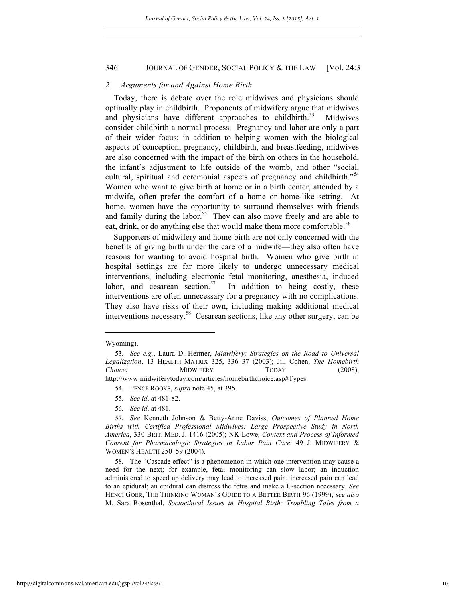#### *2. Arguments for and Against Home Birth*

Today, there is debate over the role midwives and physicians should optimally play in childbirth. Proponents of midwifery argue that midwives and physicians have different approaches to childbirth. $53$  Midwives consider childbirth a normal process. Pregnancy and labor are only a part of their wider focus; in addition to helping women with the biological aspects of conception, pregnancy, childbirth, and breastfeeding, midwives are also concerned with the impact of the birth on others in the household, the infant's adjustment to life outside of the womb, and other "social, cultural, spiritual and ceremonial aspects of pregnancy and childbirth."<sup>54</sup> Women who want to give birth at home or in a birth center, attended by a midwife, often prefer the comfort of a home or home-like setting. At home, women have the opportunity to surround themselves with friends and family during the labor.<sup>55</sup> They can also move freely and are able to eat, drink, or do anything else that would make them more comfortable.<sup>56</sup>

Supporters of midwifery and home birth are not only concerned with the benefits of giving birth under the care of a midwife—they also often have reasons for wanting to avoid hospital birth. Women who give birth in hospital settings are far more likely to undergo unnecessary medical interventions, including electronic fetal monitoring, anesthesia, induced labor, and cesarean section.<sup>57</sup> In addition to being costly, these interventions are often unnecessary for a pregnancy with no complications. They also have risks of their own, including making additional medical interventions necessary.<sup>58</sup> Cesarean sections, like any other surgery, can be

 $\overline{a}$ 

56. *See id*. at 481.

Wyoming).

<sup>53.</sup> *See e.g.*, Laura D. Hermer, *Midwifery: Strategies on the Road to Universal Legalization*, 13 HEALTH MATRIX 325, 336–37 (2003); Jill Cohen, *The Homebirth Choice*, MIDWIFERY TODAY (2008), http://www.midwiferytoday.com/articles/homebirthchoice.asp#Types.

<sup>54.</sup> PENCE ROOKS, *supra* note 45, at 395.

<sup>55.</sup> *See id*. at 481-82.

<sup>57.</sup> *See* Kenneth Johnson & Betty-Anne Daviss, *Outcomes of Planned Home Births with Certified Professional Midwives: Large Prospective Study in North America*, 330 BRIT. MED. J. 1416 (2005); NK Lowe, *Context and Process of Informed Consent for Pharmacologic Strategies in Labor Pain Care*, 49 J. MIDWIFERY & WOMEN'S HEALTH 250–59 (2004).

<sup>58.</sup> The "Cascade effect" is a phenomenon in which one intervention may cause a need for the next; for example, fetal monitoring can slow labor; an induction administered to speed up delivery may lead to increased pain; increased pain can lead to an epidural; an epidural can distress the fetus and make a C-section necessary. *See*  HENCI GOER, THE THINKING WOMAN'S GUIDE TO A BETTER BIRTH 96 (1999); *see also*  M. Sara Rosenthal, *Socioethical Issues in Hospital Birth: Troubling Tales from a*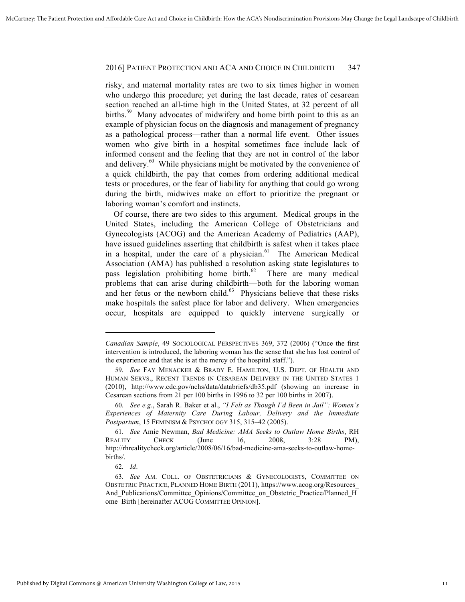risky, and maternal mortality rates are two to six times higher in women who undergo this procedure; yet during the last decade, rates of cesarean section reached an all-time high in the United States, at 32 percent of all births.<sup>59</sup> Many advocates of midwifery and home birth point to this as an example of physician focus on the diagnosis and management of pregnancy as a pathological process—rather than a normal life event. Other issues women who give birth in a hospital sometimes face include lack of informed consent and the feeling that they are not in control of the labor and delivery.<sup>60</sup> While physicians might be motivated by the convenience of a quick childbirth, the pay that comes from ordering additional medical tests or procedures, or the fear of liability for anything that could go wrong during the birth, midwives make an effort to prioritize the pregnant or laboring woman's comfort and instincts.

Of course, there are two sides to this argument. Medical groups in the United States, including the American College of Obstetricians and Gynecologists (ACOG) and the American Academy of Pediatrics (AAP), have issued guidelines asserting that childbirth is safest when it takes place in a hospital, under the care of a physician. $61$  The American Medical Association (AMA) has published a resolution asking state legislatures to pass legislation prohibiting home birth. $62$  There are many medical problems that can arise during childbirth—both for the laboring woman and her fetus or the newborn child. $63$  Physicians believe that these risks make hospitals the safest place for labor and delivery. When emergencies occur, hospitals are equipped to quickly intervene surgically or

*Canadian Sample*, 49 SOCIOLOGICAL PERSPECTIVES 369, 372 (2006) ("Once the first intervention is introduced, the laboring woman has the sense that she has lost control of the experience and that she is at the mercy of the hospital staff.").

<sup>59.</sup> *See* FAY MENACKER & BRADY E. HAMILTON, U.S. DEPT. OF HEALTH AND HUMAN SERVS., RECENT TRENDS IN CESAREAN DELIVERY IN THE UNITED STATES 1 (2010), http://www.cdc.gov/nchs/data/databriefs/db35.pdf (showing an increase in Cesarean sections from 21 per 100 births in 1996 to 32 per 100 births in 2007).

<sup>60.</sup> *See e.g.*, Sarah R. Baker et al., *"I Felt as Though I'd Been in Jail": Women's Experiences of Maternity Care During Labour, Delivery and the Immediate Postpartum*, 15 FEMINISM & PSYCHOLOGY 315, 315–42 (2005).

<sup>61.</sup> *See* Amie Newman, *Bad Medicine: AMA Seeks to Outlaw Home Births*, RH REALITY CHECK (June 16, 2008, 3:28 PM), http://rhrealitycheck.org/article/2008/06/16/bad-medicine-ama-seeks-to-outlaw-homebirths/.

<sup>62.</sup> *Id*.

<sup>63.</sup> *See* AM. COLL. OF OBSTETRICIANS & GYNECOLOGISTS, COMMITTEE ON OBSTETRIC PRACTICE, PLANNED HOME BIRTH (2011), https://www.acog.org/Resources\_ And Publications/Committee Opinions/Committee on Obstetric Practice/Planned H ome\_Birth [hereinafter ACOG COMMITTEE OPINION].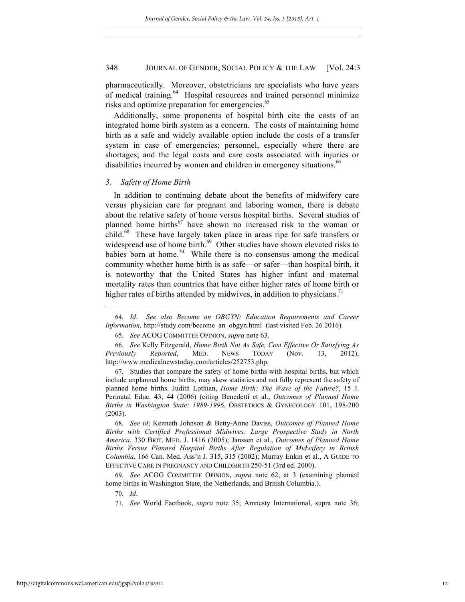pharmaceutically. Moreover, obstetricians are specialists who have years of medical training.<sup>64</sup> Hospital resources and trained personnel minimize risks and optimize preparation for emergencies.<sup>65</sup>

Additionally, some proponents of hospital birth cite the costs of an integrated home birth system as a concern. The costs of maintaining home birth as a safe and widely available option include the costs of a transfer system in case of emergencies; personnel, especially where there are shortages; and the legal costs and care costs associated with injuries or disabilities incurred by women and children in emergency situations.<sup>66</sup>

#### *3. Safety of Home Birth*

In addition to continuing debate about the benefits of midwifery care versus physician care for pregnant and laboring women, there is debate about the relative safety of home versus hospital births. Several studies of planned home births<sup>67</sup> have shown no increased risk to the woman or child.<sup>68</sup> These have largely taken place in areas ripe for safe transfers or widespread use of home birth.<sup>69</sup> Other studies have shown elevated risks to babies born at home.<sup>70</sup> While there is no consensus among the medical community whether home birth is as safe—or safer—than hospital birth, it is noteworthy that the United States has higher infant and maternal mortality rates than countries that have either higher rates of home birth or higher rates of births attended by midwives, in addition to physicians.<sup>71</sup>

67. Studies that compare the safety of home births with hospital births, but which include unplanned home births, may skew statistics and not fully represent the safety of planned home births. Judith Lothian, *Home Birth: The Wave of the Future?*, 15 J. Perinatal Educ. 43, 44 (2006) (citing Benedetti et al., *Outcomes of Planned Home Births in Washington State: 1989-1996*, OBSTETRICS & GYNECOLOGY 101, 198-200 (2003).

68. *See id*; Kenneth Johnson & Betty-Anne Daviss, *Outcomes of Planned Home Births with Certified Professional Midwives: Large Prospective Study in North America*, 330 BRIT. MED. J. 1416 (2005); Janssen et al., *Outcomes of Planned Home Births Versus Planned Hospital Births After Regulation of Midwifery in British Columbia*, 166 Can. Med. Ass'n J. 315, 315 (2002); Murray Enkin et al., A GUIDE TO EFFECTIVE CARE IN PREGNANCY AND CHILDBIRTH 250-51 (3rd ed. 2000).

69. *See* ACOG COMMITTEE OPINION, *supra* note 62, at 3 (examining planned home births in Washington State, the Netherlands, and British Columbia.).

70. *Id*.

<sup>64.</sup> *Id*. *See also Become an OBGYN: Education Requirements and Career Information,* http://study.com/become\_an\_obgyn.html (last visited Feb. 26 2016).

<sup>65.</sup> *See* ACOG COMMITTEE OPINION, *supra* note 63.

<sup>66.</sup> *See* Kelly Fitzgerald, *Home Birth Not As Safe, Cost Effective Or Satisfying As Previously Reported*, MED. NEWS TODAY (Nov. 13, 2012), http://www.medicalnewstoday.com/articles/252753.php.

<sup>71.</sup> *See* World Factbook, *supra* note 35; Amnesty International, supra note 36;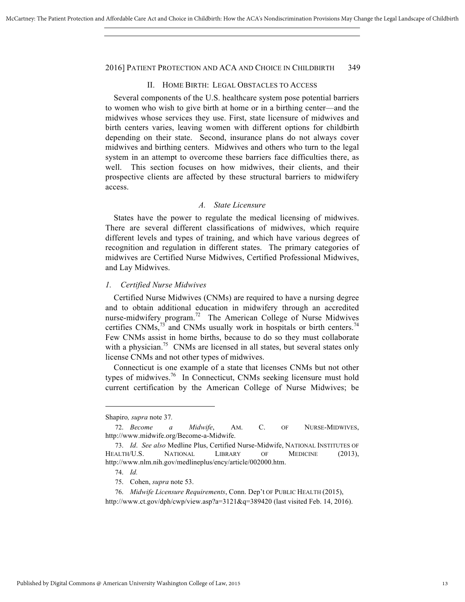#### II. HOME BIRTH: LEGAL OBSTACLES TO ACCESS

Several components of the U.S. healthcare system pose potential barriers to women who wish to give birth at home or in a birthing center—and the midwives whose services they use. First, state licensure of midwives and birth centers varies, leaving women with different options for childbirth depending on their state. Second, insurance plans do not always cover midwives and birthing centers. Midwives and others who turn to the legal system in an attempt to overcome these barriers face difficulties there, as well. This section focuses on how midwives, their clients, and their prospective clients are affected by these structural barriers to midwifery access.

### *A. State Licensure*

States have the power to regulate the medical licensing of midwives. There are several different classifications of midwives, which require different levels and types of training, and which have various degrees of recognition and regulation in different states. The primary categories of midwives are Certified Nurse Midwives, Certified Professional Midwives, and Lay Midwives.

### *1. Certified Nurse Midwives*

Certified Nurse Midwives (CNMs) are required to have a nursing degree and to obtain additional education in midwifery through an accredited nurse-midwifery program.<sup>72</sup> The American College of Nurse Midwives certifies CNMs, $^{73}$  and CNMs usually work in hospitals or birth centers.<sup>74</sup> Few CNMs assist in home births, because to do so they must collaborate with a physician.<sup>75</sup> CNMs are licensed in all states, but several states only license CNMs and not other types of midwives.

Connecticut is one example of a state that licenses CNMs but not other types of midwives.<sup>76</sup> In Connecticut, CNMs seeking licensure must hold current certification by the American College of Nurse Midwives; be

Shapiro*, supra* note 37*.*

<sup>72.</sup> *Become a Midwife*, AM. C. OF NURSE-MIDWIVES, http://www.midwife.org/Become-a-Midwife.

<sup>73.</sup> *Id*. *See also* Medline Plus, Certified Nurse-Midwife, NATIONAL INSTITUTES OF HEALTH/U.S. NATIONAL LIBRARY OF MEDICINE (2013), http://www.nlm.nih.gov/medlineplus/ency/article/002000.htm.

<sup>74.</sup> *Id.* 

<sup>75.</sup> Cohen, *supra* note 53.

<sup>76.</sup> *Midwife Licensure Requirements*, Conn. Dep't OF PUBLIC HEALTH (2015),

http://www.ct.gov/dph/cwp/view.asp?a=3121&q=389420 (last visited Feb. 14, 2016).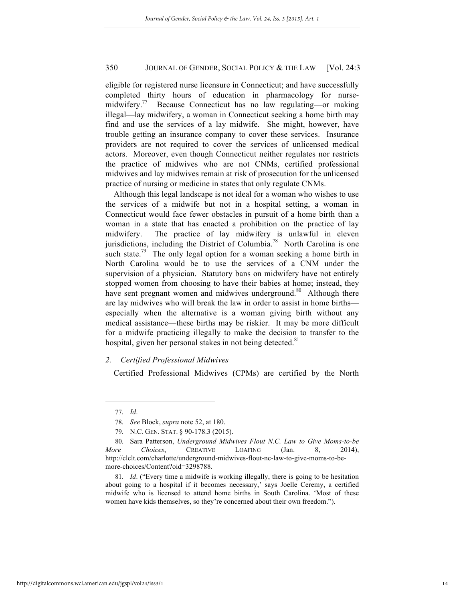eligible for registered nurse licensure in Connecticut; and have successfully completed thirty hours of education in pharmacology for nursemidwifery.<sup>77</sup> Because Connecticut has no law regulating—or making illegal—lay midwifery, a woman in Connecticut seeking a home birth may find and use the services of a lay midwife. She might, however, have trouble getting an insurance company to cover these services. Insurance providers are not required to cover the services of unlicensed medical actors. Moreover, even though Connecticut neither regulates nor restricts the practice of midwives who are not CNMs, certified professional midwives and lay midwives remain at risk of prosecution for the unlicensed practice of nursing or medicine in states that only regulate CNMs.

Although this legal landscape is not ideal for a woman who wishes to use the services of a midwife but not in a hospital setting, a woman in Connecticut would face fewer obstacles in pursuit of a home birth than a woman in a state that has enacted a prohibition on the practice of lay midwifery. The practice of lay midwifery is unlawful in eleven jurisdictions, including the District of Columbia.<sup>78</sup> North Carolina is one such state.<sup>79</sup> The only legal option for a woman seeking a home birth in North Carolina would be to use the services of a CNM under the supervision of a physician. Statutory bans on midwifery have not entirely stopped women from choosing to have their babies at home; instead, they have sent pregnant women and midwives underground.<sup>80</sup> Although there are lay midwives who will break the law in order to assist in home births especially when the alternative is a woman giving birth without any medical assistance—these births may be riskier. It may be more difficult for a midwife practicing illegally to make the decision to transfer to the hospital, given her personal stakes in not being detected.<sup>81</sup>

### *2. Certified Professional Midwives*

Certified Professional Midwives (CPMs) are certified by the North

<sup>77.</sup> *Id*.

<sup>78.</sup> *See* Block, *supra* note 52, at 180.

<sup>79.</sup> N.C. GEN. STAT. § 90-178.3 (2015).

<sup>80.</sup> Sara Patterson, *Underground Midwives Flout N.C. Law to Give Moms-to-be More Choices*, CREATIVE LOAFING (Jan. 8, 2014), http://clclt.com/charlotte/underground-midwives-flout-nc-law-to-give-moms-to-bemore-choices/Content?oid=3298788.

<sup>81.</sup> *Id*. ("Every time a midwife is working illegally, there is going to be hesitation about going to a hospital if it becomes necessary,' says Joelle Ceremy, a certified midwife who is licensed to attend home births in South Carolina. 'Most of these women have kids themselves, so they're concerned about their own freedom.").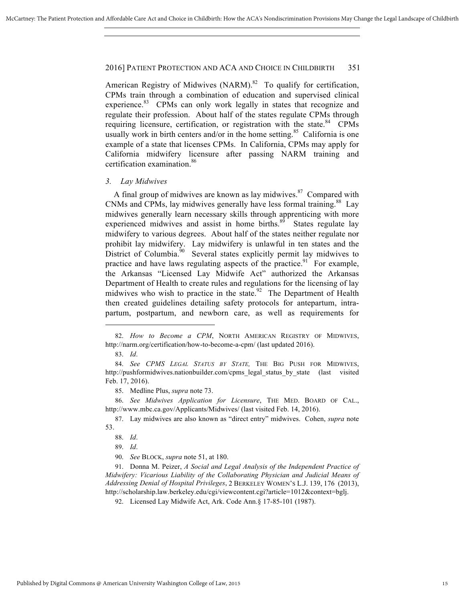American Registry of Midwives  $(NARM)$ <sup>82</sup> To qualify for certification, CPMs train through a combination of education and supervised clinical experience.<sup>83</sup> CPMs can only work legally in states that recognize and regulate their profession. About half of the states regulate CPMs through requiring licensure, certification, or registration with the state.<sup>84</sup> CPMs usually work in birth centers and/or in the home setting.<sup>85</sup> California is one example of a state that licenses CPMs. In California, CPMs may apply for California midwifery licensure after passing NARM training and certification examination.<sup>86</sup>

#### *3. Lay Midwives*

A final group of midwives are known as lay midwives. $87$  Compared with CNMs and CPMs, lay midwives generally have less formal training.<sup>88</sup> Lay midwives generally learn necessary skills through apprenticing with more experienced midwives and assist in home births.<sup>89</sup> States regulate lay midwifery to various degrees. About half of the states neither regulate nor prohibit lay midwifery. Lay midwifery is unlawful in ten states and the District of Columbia.<sup>90</sup> Several states explicitly permit lay midwives to practice and have laws regulating aspects of the practice.<sup>91</sup> For example, the Arkansas "Licensed Lay Midwife Act" authorized the Arkansas Department of Health to create rules and regulations for the licensing of lay midwives who wish to practice in the state.<sup>92</sup> The Department of Health then created guidelines detailing safety protocols for antepartum, intrapartum, postpartum, and newborn care, as well as requirements for

 $\overline{a}$ 

85. Medline Plus, *supra* note 73.

86. *See Midwives Application for Licensure*, THE MED. BOARD OF CAL., http://www.mbc.ca.gov/Applicants/Midwives/ (last visited Feb. 14, 2016).

87. Lay midwives are also known as "direct entry" midwives. Cohen, *supra* note 53.

88. *Id*.

89. *Id*.

90. *See* BLOCK, *supra* note 51, at 180.

91. Donna M. Peizer, *A Social and Legal Analysis of the Independent Practice of Midwifery: Vicarious Liability of the Collaborating Physician and Judicial Means of Addressing Denial of Hospital Privileges*, 2 BERKELEY WOMEN'S L.J. 139, 176 (2013), http://scholarship.law.berkeley.edu/cgi/viewcontent.cgi?article=1012&context=bglj.

<sup>82.</sup> *How to Become a CPM*, NORTH AMERICAN REGISTRY OF MIDWIVES, http://narm.org/certification/how-to-become-a-cpm/ (last updated 2016).

<sup>83.</sup> *Id*.

<sup>84.</sup> *See CPMS LEGAL STATUS BY STATE,* THE BIG PUSH FOR MIDWIVES, http://pushformidwives.nationbuilder.com/cpms\_legal\_status\_by\_state (last visited Feb. 17, 2016).

<sup>92.</sup> Licensed Lay Midwife Act, Ark. Code Ann.§ 17-85-101 (1987).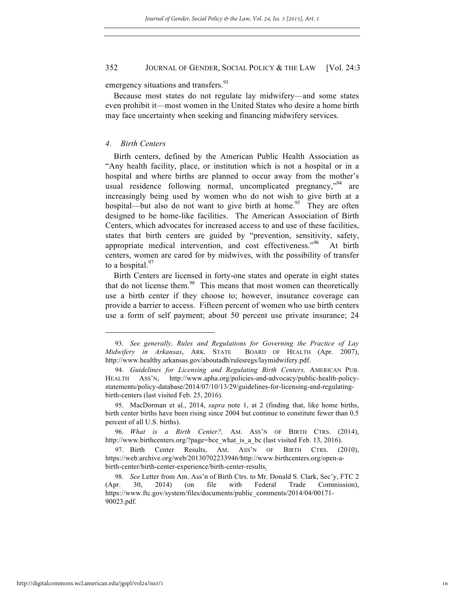emergency situations and transfers.<sup>93</sup>

Because most states do not regulate lay midwifery—and some states even prohibit it—most women in the United States who desire a home birth may face uncertainty when seeking and financing midwifery services.

### *4. Birth Centers*

Birth centers, defined by the American Public Health Association as "Any health facility, place, or institution which is not a hospital or in a hospital and where births are planned to occur away from the mother's usual residence following normal, uncomplicated pregnancy, $v^{94}$  are increasingly being used by women who do not wish to give birth at a hospital—but also do not want to give birth at home.<sup>95</sup> They are often designed to be home-like facilities. The American Association of Birth Centers, which advocates for increased access to and use of these facilities, states that birth centers are guided by "prevention, sensitivity, safety, appropriate medical intervention, and cost effectiveness."<sup>96</sup> At birth centers, women are cared for by midwives, with the possibility of transfer to a hospital. $97$ 

Birth Centers are licensed in forty-one states and operate in eight states that do not license them. $98$  This means that most women can theoretically use a birth center if they choose to; however, insurance coverage can provide a barrier to access. Fifteen percent of women who use birth centers use a form of self payment; about 50 percent use private insurance; 24

<sup>93.</sup> *See generally, Rules and Regulations for Governing the Practice of Lay Midwifery in Arkansas*, ARK. STATE BOARD OF HEALTH (Apr. 2007), http://www.healthy.arkansas.gov/aboutadh/rulesregs/laymidwifery.pdf.

<sup>94.</sup> *Guidelines for Licensing and Regulating Birth Centers,* AMERICAN PUB. HEALTH ASS'N, http://www.apha.org/policies-and-advocacy/public-health-policystatements/policy-database/2014/07/10/13/29/guidelines-for-licensing-and-regulatingbirth-centers (last visited Feb. 25, 2016).

<sup>95.</sup> MacDorman et al., 2014, *supra* note 1, at 2 (finding that, like home births, birth center births have been rising since 2004 but continue to constitute fewer than 0.5 percent of all U.S. births).

<sup>96.</sup> *What is a Birth Center?,* AM. ASS'N OF BIRTH CTRS. (2014), http://www.birthcenters.org/?page=bce\_what\_is\_a\_bc (last visited Feb. 13, 2016).

<sup>97.</sup> Birth Center Results, AM. ASS'N OF BIRTH CTRS. (2010), https://web.archive.org/web/20130702233946/http://www.birthcenters.org/open-abirth-center/birth-center-experience/birth-center-results.

<sup>98.</sup> *See* Letter from Am. Ass'n of Birth Ctrs. to Mr. Donald S. Clark, Sec'y, FTC 2 (Apr. 30, 2014) (on file with Federal Trade Commission), https://www.ftc.gov/system/files/documents/public\_comments/2014/04/00171- 90023.pdf.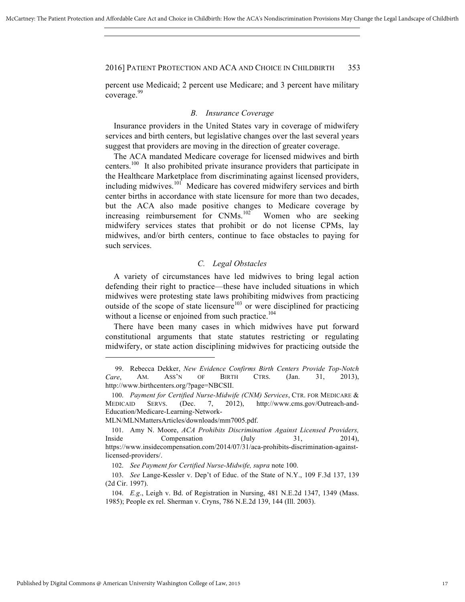percent use Medicaid; 2 percent use Medicare; and 3 percent have military coverage.<sup>99</sup>

### *B. Insurance Coverage*

Insurance providers in the United States vary in coverage of midwifery services and birth centers, but legislative changes over the last several years suggest that providers are moving in the direction of greater coverage.

The ACA mandated Medicare coverage for licensed midwives and birth centers.<sup>100</sup> It also prohibited private insurance providers that participate in the Healthcare Marketplace from discriminating against licensed providers, including midwives.<sup>101</sup> Medicare has covered midwifery services and birth center births in accordance with state licensure for more than two decades, but the ACA also made positive changes to Medicare coverage by increasing reimbursement for  $CNMs$ .<sup>102</sup> Women who are seeking midwifery services states that prohibit or do not license CPMs, lay midwives, and/or birth centers, continue to face obstacles to paying for such services.

### *C. Legal Obstacles*

A variety of circumstances have led midwives to bring legal action defending their right to practice—these have included situations in which midwives were protesting state laws prohibiting midwives from practicing outside of the scope of state licensure<sup>103</sup> or were disciplined for practicing without a license or enjoined from such practice.<sup>104</sup>

There have been many cases in which midwives have put forward constitutional arguments that state statutes restricting or regulating midwifery, or state action disciplining midwives for practicing outside the

MLN/MLNMattersArticles/downloads/mm7005.pdf.

<sup>99.</sup> Rebecca Dekker, *New Evidence Confirms Birth Centers Provide Top-Notch Care*, AM. ASS'N OF BIRTH CTRS. (Jan. 31, 2013), http://www.birthcenters.org/?page=NBCSII.

<sup>100.</sup> *Payment for Certified Nurse-Midwife (CNM) Services*, CTR. FOR MEDICARE & MEDICAID SERVS. (Dec. 7, 2012), http://www.cms.gov/Outreach-and-Education/Medicare-Learning-Network-

<sup>101.</sup> Amy N. Moore, *ACA Prohibits Discrimination Against Licensed Providers,*  Inside Compensation (July 31, 2014), https://www.insidecompensation.com/2014/07/31/aca-prohibits-discrimination-againstlicensed-providers/.

<sup>102.</sup> *See Payment for Certified Nurse-Midwife, supra* note 100.

<sup>103.</sup> *See* Lange-Kessler v. Dep't of Educ. of the State of N.Y., 109 F.3d 137, 139 (2d Cir. 1997).

<sup>104.</sup> *E.g*., Leigh v. Bd. of Registration in Nursing, 481 N.E.2d 1347, 1349 (Mass. 1985); People ex rel. Sherman v. Cryns, 786 N.E.2d 139, 144 (Ill. 2003).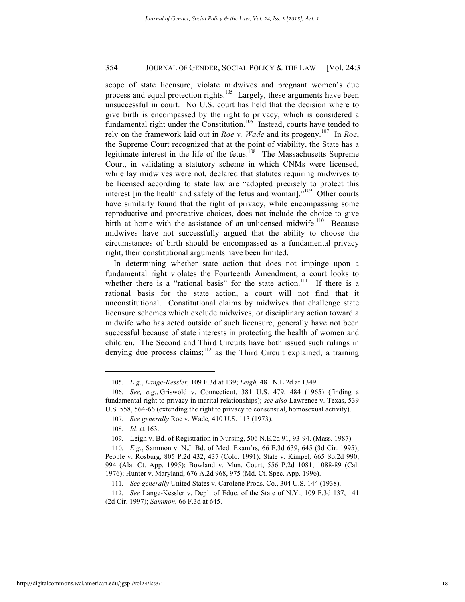scope of state licensure, violate midwives and pregnant women's due process and equal protection rights.<sup>105</sup> Largely, these arguments have been unsuccessful in court. No U.S. court has held that the decision where to give birth is encompassed by the right to privacy, which is considered a fundamental right under the Constitution.<sup>106</sup> Instead, courts have tended to rely on the framework laid out in *Roe v. Wade* and its progeny.107 In *Roe*, the Supreme Court recognized that at the point of viability, the State has a legitimate interest in the life of the fetus.<sup>108</sup> The Massachusetts Supreme Court, in validating a statutory scheme in which CNMs were licensed, while lay midwives were not, declared that statutes requiring midwives to be licensed according to state law are "adopted precisely to protect this interest  $\left[$  in the health and safety of the fetus and woman $\right]$ .<sup> $109$ </sup> Other courts have similarly found that the right of privacy, while encompassing some reproductive and procreative choices, does not include the choice to give birth at home with the assistance of an unlicensed midwife.<sup>110</sup> Because midwives have not successfully argued that the ability to choose the circumstances of birth should be encompassed as a fundamental privacy right, their constitutional arguments have been limited.

In determining whether state action that does not impinge upon a fundamental right violates the Fourteenth Amendment, a court looks to whether there is a "rational basis" for the state action.<sup>111</sup> If there is a rational basis for the state action, a court will not find that it unconstitutional. Constitutional claims by midwives that challenge state licensure schemes which exclude midwives, or disciplinary action toward a midwife who has acted outside of such licensure, generally have not been successful because of state interests in protecting the health of women and children. The Second and Third Circuits have both issued such rulings in denying due process claims; $^{112}$  as the Third Circuit explained, a training

<sup>105.</sup> *E.g.*, *Lange-Kessler,* 109 F.3d at 139; *Leigh,* 481 N.E.2d at 1349.

<sup>106.</sup> *See, e.g*., Griswold v. Connecticut, 381 U.S. 479, 484 (1965) (finding a fundamental right to privacy in marital relationships); *see also* Lawrence v. Texas, 539 U.S. 558, 564-66 (extending the right to privacy to consensual, homosexual activity).

<sup>107.</sup> *See generally* Roe v. Wade*,* 410 U.S. 113 (1973).

<sup>108.</sup> *Id*. at 163.

<sup>109.</sup> Leigh v. Bd. of Registration in Nursing, 506 N.E.2d 91, 93-94. (Mass. 1987).

<sup>110.</sup> *E.g*., Sammon v. N.J. Bd. of Med. Exam'rs*,* 66 F.3d 639, 645 (3d Cir. 1995); People v. Rosburg, 805 P.2d 432, 437 (Colo. 1991); State v. Kimpel*,* 665 So.2d 990, 994 (Ala. Ct. App. 1995); Bowland v. Mun. Court, 556 P.2d 1081, 1088-89 (Cal. 1976); Hunter v. Maryland, 676 A.2d 968, 975 (Md. Ct. Spec. App. 1996).

<sup>111.</sup> *See generally* United States v. Carolene Prods. Co., 304 U.S. 144 (1938).

<sup>112.</sup> *See* Lange-Kessler v. Dep't of Educ. of the State of N.Y., 109 F.3d 137, 141 (2d Cir. 1997); *Sammon,* 66 F.3d at 645.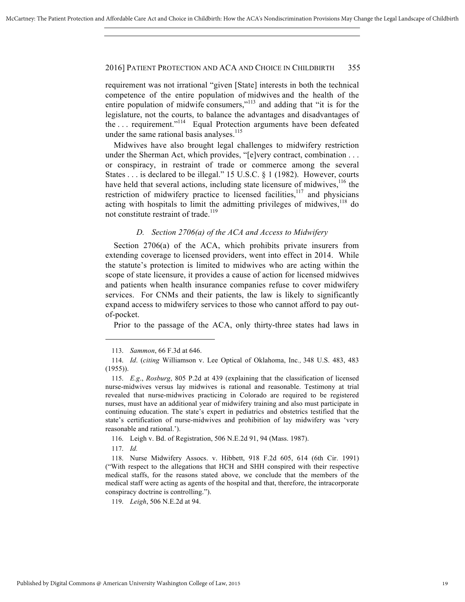requirement was not irrational "given [State] interests in both the technical competence of the entire population of midwives and the health of the entire population of midwife consumers,"<sup>113</sup> and adding that "it is for the legislature, not the courts, to balance the advantages and disadvantages of the ... requirement."<sup>114</sup> Equal Protection arguments have been defeated under the same rational basis analyses. $115$ 

Midwives have also brought legal challenges to midwifery restriction under the Sherman Act, which provides, "[e]very contract, combination . . . or conspiracy, in restraint of trade or commerce among the several States . . . is declared to be illegal." 15 U.S.C. § 1 (1982). However, courts have held that several actions, including state licensure of midwives,  $116$  the restriction of midwifery practice to licensed facilities, $117$  and physicians acting with hospitals to limit the admitting privileges of midwives,  $118$  do not constitute restraint of trade.<sup>119</sup>

### *D. Section 2706(a) of the ACA and Access to Midwifery*

Section 2706(a) of the ACA, which prohibits private insurers from extending coverage to licensed providers, went into effect in 2014. While the statute's protection is limited to midwives who are acting within the scope of state licensure, it provides a cause of action for licensed midwives and patients when health insurance companies refuse to cover midwifery services. For CNMs and their patients, the law is likely to significantly expand access to midwifery services to those who cannot afford to pay outof-pocket.

Prior to the passage of the ACA, only thirty-three states had laws in

116. Leigh v. Bd. of Registration, 506 N.E.2d 91, 94 (Mass. 1987).

117. *Id.* 

<sup>113.</sup> *Sammon*, 66 F.3d at 646.

<sup>114.</sup> *Id*. (*citing* Williamson v. Lee Optical of Oklahoma, Inc*.,* 348 U.S. 483, 483 (1955)).

<sup>115.</sup> *E.g*., *Rosburg*, 805 P.2d at 439 (explaining that the classification of licensed nurse-midwives versus lay midwives is rational and reasonable. Testimony at trial revealed that nurse-midwives practicing in Colorado are required to be registered nurses, must have an additional year of midwifery training and also must participate in continuing education. The state's expert in pediatrics and obstetrics testified that the state's certification of nurse-midwives and prohibition of lay midwifery was 'very reasonable and rational.').

<sup>118.</sup> Nurse Midwifery Assocs. v. Hibbett, 918 F.2d 605, 614 (6th Cir. 1991) ("With respect to the allegations that HCH and SHH conspired with their respective medical staffs, for the reasons stated above, we conclude that the members of the medical staff were acting as agents of the hospital and that, therefore, the intracorporate conspiracy doctrine is controlling.").

<sup>119.</sup> *Leigh*, 506 N.E.2d at 94.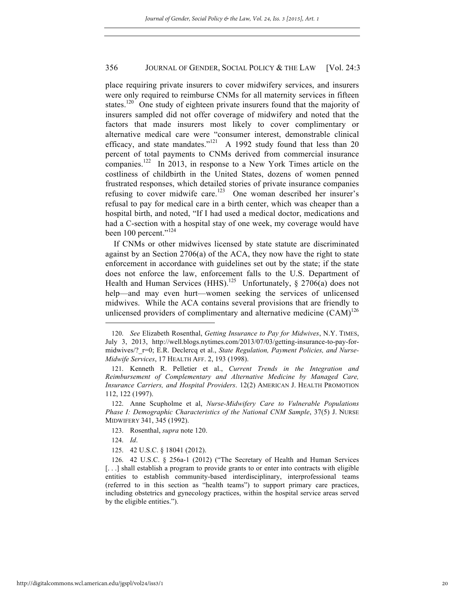place requiring private insurers to cover midwifery services, and insurers were only required to reimburse CNMs for all maternity services in fifteen states.<sup>120</sup> One study of eighteen private insurers found that the majority of insurers sampled did not offer coverage of midwifery and noted that the factors that made insurers most likely to cover complimentary or alternative medical care were "consumer interest, demonstrable clinical efficacy, and state mandates."<sup>121</sup> A 1992 study found that less than 20 percent of total payments to CNMs derived from commercial insurance companies.<sup>122</sup> In 2013, in response to a New York Times article on the costliness of childbirth in the United States, dozens of women penned frustrated responses, which detailed stories of private insurance companies refusing to cover midwife care.<sup>123</sup> One woman described her insurer's refusal to pay for medical care in a birth center, which was cheaper than a hospital birth, and noted, "If I had used a medical doctor, medications and had a C-section with a hospital stay of one week, my coverage would have been 100 percent."<sup>124</sup>

If CNMs or other midwives licensed by state statute are discriminated against by an Section 2706(a) of the ACA, they now have the right to state enforcement in accordance with guidelines set out by the state; if the state does not enforce the law, enforcement falls to the U.S. Department of Health and Human Services (HHS).<sup>125</sup> Unfortunately, § 2706(a) does not help—and may even hurt—women seeking the services of unlicensed midwives. While the ACA contains several provisions that are friendly to unlicensed providers of complimentary and alternative medicine  $(CAM)^{126}$ 

- 123. Rosenthal, *supra* note 120.
- 124. *Id*.

 $\overline{a}$ 

125. 42 U.S.C. § 18041 (2012).

<sup>120.</sup> *See* Elizabeth Rosenthal, *Getting Insurance to Pay for Midwives*, N.Y. TIMES, July 3, 2013, http://well.blogs.nytimes.com/2013/07/03/getting-insurance-to-pay-formidwives/?\_r=0; E.R. Declercq et al., *State Regulation, Payment Policies, and Nurse-Midwife Services*, 17 HEALTH AFF. 2, 193 (1998).

<sup>121.</sup> Kenneth R. Pelletier et al., *Current Trends in the Integration and Reimbursement of Complementary and Alternative Medicine by Managed Care, Insurance Carriers, and Hospital Providers*. 12(2) AMERICAN J. HEALTH PROMOTION 112, 122 (1997).

<sup>122.</sup> Anne Scupholme et al, *Nurse-Midwifery Care to Vulnerable Populations Phase I: Demographic Characteristics of the National CNM Sample*, 37(5) J. NURSE MIDWIFERY 341, 345 (1992).

<sup>126.</sup> 42 U.S.C. § 256a-1 (2012) ("The Secretary of Health and Human Services [...] shall establish a program to provide grants to or enter into contracts with eligible entities to establish community-based interdisciplinary, interprofessional teams (referred to in this section as "health teams") to support primary care practices, including obstetrics and gynecology practices, within the hospital service areas served by the eligible entities.").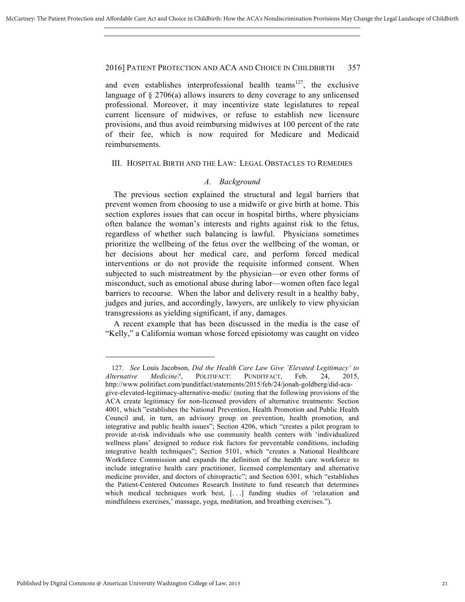and even establishes interprofessional health teams<sup>127</sup>, the exclusive language of  $\S 2706(a)$  allows insurers to deny coverage to any unlicensed professional. Moreover, it may incentivize state legislatures to repeal current licensure of midwives, or refuse to establish new licensure provisions, and thus avoid reimbursing midwives at 100 percent of the rate of their fee, which is now required for Medicare and Medicaid reimbursements.

### III. HOSPITAL BIRTH AND THE LAW: LEGAL OBSTACLES TO REMEDIES

### *A. Background*

The previous section explained the structural and legal barriers that prevent women from choosing to use a midwife or give birth at home. This section explores issues that can occur in hospital births, where physicians often balance the woman's interests and rights against risk to the fetus, regardless of whether such balancing is lawful. Physicians sometimes prioritize the wellbeing of the fetus over the wellbeing of the woman, or her decisions about her medical care, and perform forced medical interventions or do not provide the requisite informed consent. When subjected to such mistreatment by the physician—or even other forms of misconduct, such as emotional abuse during labor—women often face legal barriers to recourse. When the labor and delivery result in a healthy baby, judges and juries, and accordingly, lawyers, are unlikely to view physician transgressions as yielding significant, if any, damages.

A recent example that has been discussed in the media is the case of "Kelly," a California woman whose forced episiotomy was caught on video

<sup>127.</sup> *See* Louis Jacobson, *Did the Health Care Law Give 'Elevated Legitimacy' to Alternative Medicine?*, POLITIFACT: PUNDITFACT, Feb. 24, 2015, http://www.politifact.com/punditfact/statements/2015/feb/24/jonah-goldberg/did-acagive-elevated-legitimacy-alternative-medic/ (noting that the following provisions of the ACA create legitimacy for non-licensed providers of alternative treatments: Section 4001, which "establishes the National Prevention, Health Promotion and Public Health Council and, in turn, an advisory group on prevention, health promotion, and integrative and public health issues"; Section 4206, which "creates a pilot program to provide at-risk individuals who use community health centers with 'individualized wellness plans' designed to reduce risk factors for preventable conditions, including integrative health techniques"; Section 5101, which "creates a National Healthcare Workforce Commission and expands the definition of the health care workforce to include integrative health care practitioner, licensed complementary and alternative medicine provider, and doctors of chiropractic"; and Section 6301, which "establishes the Patient-Centered Outcomes Research Institute to fund research that determines which medical techniques work best, [...] funding studies of 'relaxation and mindfulness exercises,' massage, yoga, meditation, and breathing exercises.").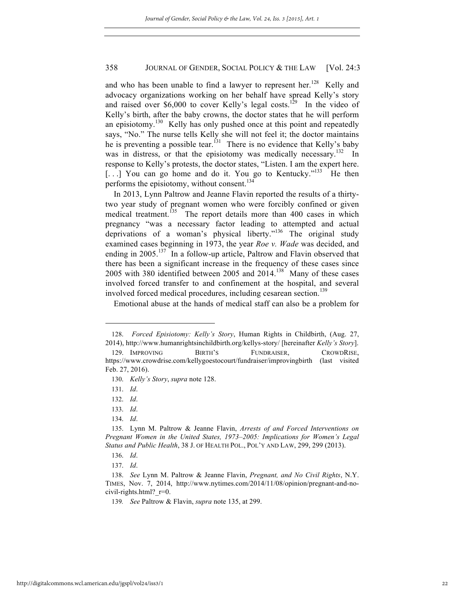and who has been unable to find a lawyer to represent her.<sup>128</sup> Kelly and advocacy organizations working on her behalf have spread Kelly's story and raised over \$6,000 to cover Kelly's legal costs.<sup>129</sup> In the video of Kelly's birth, after the baby crowns, the doctor states that he will perform an episiotomy.<sup>130</sup> Kelly has only pushed once at this point and repeatedly says, "No." The nurse tells Kelly she will not feel it; the doctor maintains he is preventing a possible tear.<sup> $131$ </sup> There is no evidence that Kelly's baby was in distress, or that the episiotomy was medically necessary.<sup>132</sup> In response to Kelly's protests, the doctor states, "Listen. I am the expert here. [...] You can go home and do it. You go to Kentucky."<sup>133</sup> He then performs the episiotomy, without consent.<sup>134</sup>

In 2013, Lynn Paltrow and Jeanne Flavin reported the results of a thirtytwo year study of pregnant women who were forcibly confined or given medical treatment.<sup>135</sup> The report details more than 400 cases in which pregnancy "was a necessary factor leading to attempted and actual deprivations of a woman's physical liberty."<sup>136</sup> The original study examined cases beginning in 1973, the year *Roe v. Wade* was decided, and ending in  $2005$ .<sup>137</sup> In a follow-up article, Paltrow and Flavin observed that there has been a significant increase in the frequency of these cases since 2005 with 380 identified between 2005 and  $2014$ <sup>138</sup> Many of these cases involved forced transfer to and confinement at the hospital, and several involved forced medical procedures, including cesarean section.<sup>139</sup>

Emotional abuse at the hands of medical staff can also be a problem for

<sup>128.</sup> *Forced Episiotomy: Kelly's Story*, Human Rights in Childbirth, (Aug. 27, 2014), http://www.humanrightsinchildbirth.org/kellys-story/ [hereinafter *Kelly's Story*].

<sup>129.</sup> IMPROVING BIRTH'S FUNDRAISER, CROWDRISE, https://www.crowdrise.com/kellygoestocourt/fundraiser/improvingbirth (last visited Feb. 27, 2016).

<sup>130.</sup> *Kelly's Story*, *supra* note 128.

<sup>131.</sup> *Id*.

<sup>132.</sup> *Id*.

<sup>133.</sup> *Id*.

<sup>134.</sup> *Id*.

<sup>135.</sup> Lynn M. Paltrow & Jeanne Flavin, *Arrests of and Forced Interventions on Pregnant Women in the United States, 1973–2005: Implications for Women's Legal Status and Public Health*, 38 J. OF HEALTH POL., POL'Y AND LAW, 299, 299 (2013).

<sup>136.</sup> *Id*.

<sup>137.</sup> *Id*.

<sup>138.</sup> *See* Lynn M. Paltrow & Jeanne Flavin, *Pregnant, and No Civil Rights*, N.Y. TIMES, Nov. 7, 2014, http://www.nytimes.com/2014/11/08/opinion/pregnant-and-nocivil-rights.html? $r=0$ .

<sup>139</sup>*. See* Paltrow & Flavin, *supra* note 135, at 299.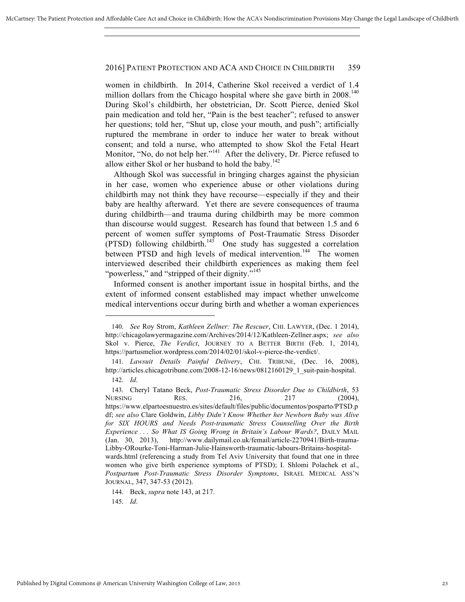women in childbirth. In 2014, Catherine Skol received a verdict of 1.4 million dollars from the Chicago hospital where she gave birth in  $2008<sup>140</sup>$ During Skol's childbirth, her obstetrician, Dr. Scott Pierce, denied Skol pain medication and told her, "Pain is the best teacher"; refused to answer her questions; told her, "Shut up, close your mouth, and push"; artificially ruptured the membrane in order to induce her water to break without consent; and told a nurse, who attempted to show Skol the Fetal Heart Monitor, "No, do not help her."<sup>141</sup> After the delivery, Dr. Pierce refused to allow either Skol or her husband to hold the baby.<sup>142</sup>

Although Skol was successful in bringing charges against the physician in her case, women who experience abuse or other violations during childbirth may not think they have recourse—especially if they and their baby are healthy afterward. Yet there are severe consequences of trauma during childbirth—and trauma during childbirth may be more common than discourse would suggest. Research has found that between 1.5 and 6 percent of women suffer symptoms of Post-Traumatic Stress Disorder (PTSD) following childbirth.<sup>143</sup> One study has suggested a correlation between PTSD and high levels of medical intervention.<sup>144</sup> The women interviewed described their childbirth experiences as making them feel "powerless," and "stripped of their dignity."<sup>145</sup>

Informed consent is another important issue in hospital births, and the extent of informed consent established may impact whether unwelcome medical interventions occur during birth and whether a woman experiences

 $\overline{a}$ 

144. Beck, *supra* note 143, at 217.

145. *Id*.

<sup>140.</sup> *See* Roy Strom, *Kathleen Zellner: The Rescuer*, CHI. LAWYER, (Dec. 1 2014), http://chicagolawyermagazine.com/Archives/2014/12/Kathleen-Zellner.aspx; *see also* Skol v. Pierce, *The Verdict*, JOURNEY TO A BETTER BIRTH (Feb. 1, 2014), https://partusmelior.wordpress.com/2014/02/01/skol-v-pierce-the-verdict/.

<sup>141.</sup> *Lawsuit Details Painful Delivery*, CHI. TRIBUNE, (Dec. 16, 2008), http://articles.chicagotribune.com/2008-12-16/news/0812160129\_1\_suit-pain-hospital.

<sup>142.</sup> *Id*.

<sup>143.</sup> Cheryl Tatano Beck, *Post-Traumatic Stress Disorder Due to Childbirth*, 53 NURSING RES. 216, 217 (2004), https://www.elpartoesnuestro.es/sites/default/files/public/documentos/posparto/PTSD.p df; *see also* Clare Goldwin, *Libby Didn't Know Whether her Newborn Baby was Alive for SIX HOURS and Needs Post-traumatic Stress Counselling Over the Birth Experience . . . So What IS Going Wrong in Britain's Labour Wards?*, DAILY MAIL (Jan. 30, 2013), http://www.dailymail.co.uk/femail/article-2270941/Birth-trauma-Libby-ORourke-Toni-Harman-Julie-Hainsworth-traumatic-labours-Britains-hospitalwards.html (referencing a study from Tel Aviv University that found that one in three women who give birth experience symptoms of PTSD); I. Shlomi Polachek et al., *Postpartum Post-Traumatic Stress Disorder Symptoms*, ISRAEL MEDICAL ASS'N JOURNAL, 347, 347-53 (2012).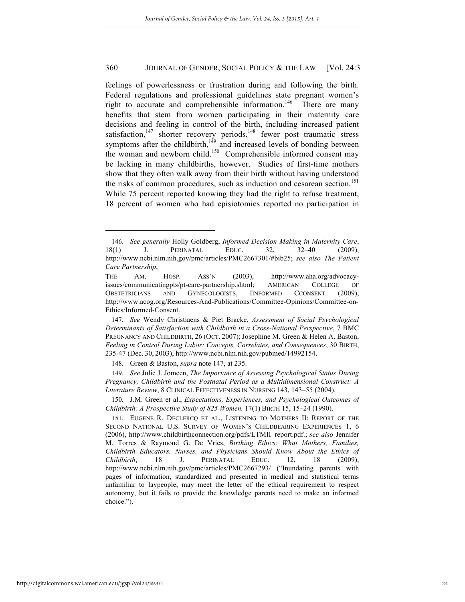feelings of powerlessness or frustration during and following the birth. Federal regulations and professional guidelines state pregnant women's right to accurate and comprehensible information.<sup>146</sup> There are many benefits that stem from women participating in their maternity care decisions and feeling in control of the birth, including increased patient satisfaction,<sup>147</sup> shorter recovery periods,<sup>148</sup> fewer post traumatic stress symptoms after the childbirth, $149$  and increased levels of bonding between the woman and newborn child.<sup>150</sup> Comprehensible informed consent may be lacking in many childbirths, however. Studies of first-time mothers show that they often walk away from their birth without having understood the risks of common procedures, such as induction and cesarean section.<sup>151</sup> While 75 percent reported knowing they had the right to refuse treatment, 18 percent of women who had episiotomies reported no participation in

148. Green & Baston, *supra* note 147, at 235.

149. *See* Julie J. Jomeen, *The Importance of Assessing Psychological Status During Pregnancy, Childbirth and the Postnatal Period as a Multidimensional Construct: A Literature Review*, 8 CLINICAL EFFECTIVENESS IN NURSING 143, 143–55 (2004).

<sup>146.</sup> *See generally* Holly Goldberg, *Informed Decision Making in Maternity Care*, 18(1) J. PERINATAL EDUC. 32, 32–40 (2009), http://www.ncbi.nlm.nih.gov/pmc/articles/PMC2667301/#bib25; *see also The Patient Care Partnership*,

THE AM. HOSP. ASS'N (2003), http://www.aha.org/advocacyissues/communicatingpts/pt-care-partnership.shtml; AMERICAN COLLEGE OF OBSTETRICIANS AND GYNECOLOGISTS, IINFORMED CCONSENT (2009), http://www.acog.org/Resources-And-Publications/Committee-Opinions/Committee-on-Ethics/Informed-Consent.

<sup>147.</sup> *See* Wendy Christiaens & Piet Bracke, *Assessment of Social Psychological Determinants of Satisfaction with Childbirth in a Cross-National Perspective*, 7 BMC PREGNANCY AND CHILDBIRTH, 26 (OCT. 2007); Josephine M. Green & Helen A. Baston, *Feeling in Control During Labor: Concepts, Correlates, and Consequences*, 30 BIRTH, 235-47 (Dec. 30, 2003), http://www.ncbi.nlm.nih.gov/pubmed/14992154.

<sup>150.</sup> J.M. Green et al., *Expectations, Experiences, and Psychological Outcomes of Childbirth: A Prospective Study of 825 Women,* 17(1) BIRTH 15, 15–24 (1990).

<sup>151.</sup> EUGENE R. DECLERCQ ET AL., LISTENING TO MOTHERS II: REPORT OF THE SECOND NATIONAL U.S. SURVEY OF WOMEN'S CHILDBEARING EXPERIENCES 1, 6 (2006), http://www.childbirthconnection.org/pdfs/LTMII\_report.pdf.; *see also* Jennifer M. Torres & Raymond G. De Vries, *Birthing Ethics: What Mothers, Families, Childbirth Educators, Nurses, and Physicians Should Know About the Ethics of Childbirth*, 18 J. PERINATAL EDUC. 12, 18 (2009), http://www.ncbi.nlm.nih.gov/pmc/articles/PMC2667293/ ("Inundating parents with pages of information, standardized and presented in medical and statistical terms unfamiliar to laypeople, may meet the letter of the ethical requirement to respect autonomy, but it fails to provide the knowledge parents need to make an informed choice.").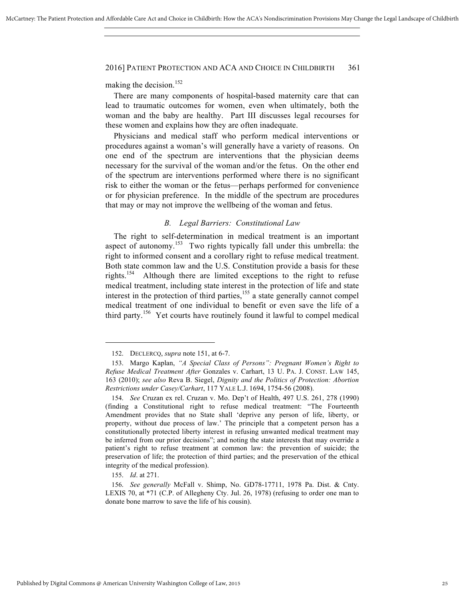making the decision.<sup>152</sup>

There are many components of hospital-based maternity care that can lead to traumatic outcomes for women, even when ultimately, both the woman and the baby are healthy. Part III discusses legal recourses for these women and explains how they are often inadequate.

Physicians and medical staff who perform medical interventions or procedures against a woman's will generally have a variety of reasons. On one end of the spectrum are interventions that the physician deems necessary for the survival of the woman and/or the fetus. On the other end of the spectrum are interventions performed where there is no significant risk to either the woman or the fetus—perhaps performed for convenience or for physician preference. In the middle of the spectrum are procedures that may or may not improve the wellbeing of the woman and fetus.

### *B. Legal Barriers: Constitutional Law*

The right to self-determination in medical treatment is an important aspect of autonomy.<sup>153</sup> Two rights typically fall under this umbrella: the right to informed consent and a corollary right to refuse medical treatment. Both state common law and the U.S. Constitution provide a basis for these rights.<sup>154</sup> Although there are limited exceptions to the right to refuse medical treatment, including state interest in the protection of life and state interest in the protection of third parties, $155$  a state generally cannot compel medical treatment of one individual to benefit or even save the life of a third party.<sup>156</sup> Yet courts have routinely found it lawful to compel medical

155. *Id*. at 271.

<sup>152.</sup> DECLERCQ, *supra* note 151, at 6-7.

<sup>153.</sup> Margo Kaplan, *"A Special Class of Persons": Pregnant Women's Right to Refuse Medical Treatment After* Gonzales v. Carhart, 13 U. PA. J. CONST. LAW 145, 163 (2010); *see also* Reva B. Siegel, *Dignity and the Politics of Protection: Abortion Restrictions under Casey/Carhart*, 117 YALE L.J. 1694, 1754-56 (2008).

<sup>154.</sup> *See* Cruzan ex rel. Cruzan v. Mo. Dep't of Health, 497 U.S. 261, 278 (1990) (finding a Constitutional right to refuse medical treatment: "The Fourteenth Amendment provides that no State shall 'deprive any person of life, liberty, or property, without due process of law.' The principle that a competent person has a constitutionally protected liberty interest in refusing unwanted medical treatment may be inferred from our prior decisions"; and noting the state interests that may override a patient's right to refuse treatment at common law: the prevention of suicide; the preservation of life; the protection of third parties; and the preservation of the ethical integrity of the medical profession).

<sup>156.</sup> *See generally* McFall v. Shimp, No. GD78-17711, 1978 Pa. Dist. & Cnty. LEXIS 70, at \*71 (C.P. of Allegheny Cty. Jul. 26, 1978) (refusing to order one man to donate bone marrow to save the life of his cousin).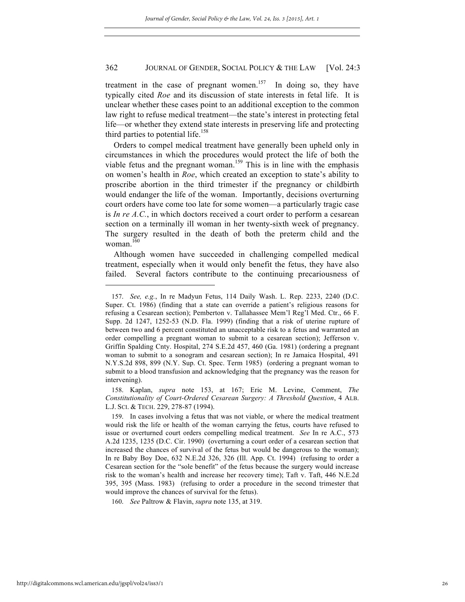treatment in the case of pregnant women.<sup>157</sup> In doing so, they have typically cited *Roe* and its discussion of state interests in fetal life. It is unclear whether these cases point to an additional exception to the common law right to refuse medical treatment—the state's interest in protecting fetal life—or whether they extend state interests in preserving life and protecting third parties to potential life.<sup>158</sup>

Orders to compel medical treatment have generally been upheld only in circumstances in which the procedures would protect the life of both the viable fetus and the pregnant woman.<sup>159</sup> This is in line with the emphasis on women's health in *Roe*, which created an exception to state's ability to proscribe abortion in the third trimester if the pregnancy or childbirth would endanger the life of the woman. Importantly, decisions overturning court orders have come too late for some women—a particularly tragic case is *In re A.C.*, in which doctors received a court order to perform a cesarean section on a terminally ill woman in her twenty-sixth week of pregnancy. The surgery resulted in the death of both the preterm child and the woman. $160$ 

Although women have succeeded in challenging compelled medical treatment, especially when it would only benefit the fetus, they have also failed. Several factors contribute to the continuing precariousness of

<sup>157.</sup> *See, e.g.*, In re Madyun Fetus, 114 Daily Wash. L. Rep. 2233, 2240 (D.C. Super. Ct. 1986) (finding that a state can override a patient's religious reasons for refusing a Cesarean section); Pemberton v. Tallahassee Mem'l Reg'l Med. Ctr., 66 F. Supp. 2d 1247, 1252-53 (N.D. Fla. 1999) (finding that a risk of uterine rupture of between two and 6 percent constituted an unacceptable risk to a fetus and warranted an order compelling a pregnant woman to submit to a cesarean section); Jefferson v. Griffin Spalding Cnty. Hospital, 274 S.E.2d 457, 460 (Ga. 1981) (ordering a pregnant woman to submit to a sonogram and cesarean section); In re Jamaica Hospital, 491 N.Y.S.2d 898, 899 (N.Y. Sup. Ct. Spec. Term 1985) (ordering a pregnant woman to submit to a blood transfusion and acknowledging that the pregnancy was the reason for intervening).

<sup>158.</sup> Kaplan, *supra* note 153, at 167; Eric M. Levine, Comment, *The Constitutionality of Court-Ordered Cesarean Surgery: A Threshold Question*, 4 ALB. L.J. SCI. & TECH. 229, 278-87 (1994).

<sup>159.</sup> In cases involving a fetus that was not viable, or where the medical treatment would risk the life or health of the woman carrying the fetus, courts have refused to issue or overturned court orders compelling medical treatment. *See* In re A.C., 573 A.2d 1235, 1235 (D.C. Cir. 1990) (overturning a court order of a cesarean section that increased the chances of survival of the fetus but would be dangerous to the woman); In re Baby Boy Doe, 632 N.E.2d 326, 326 (Ill. App. Ct. 1994) (refusing to order a Cesarean section for the "sole benefit" of the fetus because the surgery would increase risk to the woman's health and increase her recovery time); Taft v. Taft, 446 N.E.2d 395, 395 (Mass. 1983) (refusing to order a procedure in the second trimester that would improve the chances of survival for the fetus).

<sup>160.</sup> *See* Paltrow & Flavin, *supra* note 135, at 319.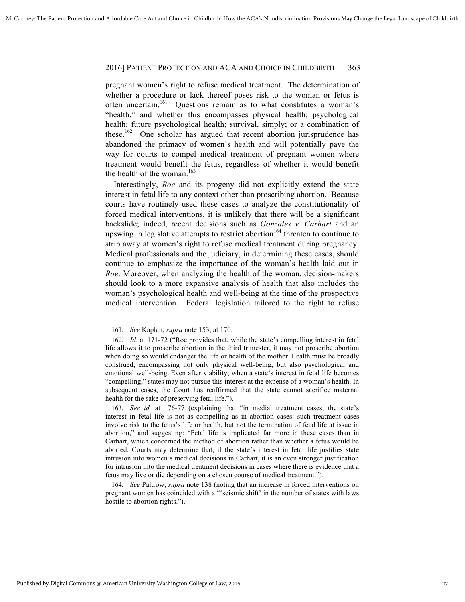pregnant women's right to refuse medical treatment. The determination of whether a procedure or lack thereof poses risk to the woman or fetus is often uncertain.<sup>161</sup> Ouestions remain as to what constitutes a woman's "health," and whether this encompasses physical health; psychological health; future psychological health; survival, simply; or a combination of these.<sup>162</sup> One scholar has argued that recent abortion jurisprudence has abandoned the primacy of women's health and will potentially pave the way for courts to compel medical treatment of pregnant women where treatment would benefit the fetus, regardless of whether it would benefit the health of the woman. $163$ 

Interestingly, *Roe* and its progeny did not explicitly extend the state interest in fetal life to any context other than proscribing abortion. Because courts have routinely used these cases to analyze the constitutionality of forced medical interventions, it is unlikely that there will be a significant backslide; indeed, recent decisions such as *Gonzales v. Carhart* and an upswing in legislative attempts to restrict abortion<sup>164</sup> threaten to continue to strip away at women's right to refuse medical treatment during pregnancy. Medical professionals and the judiciary, in determining these cases, should continue to emphasize the importance of the woman's health laid out in *Roe*. Moreover, when analyzing the health of the woman, decision-makers should look to a more expansive analysis of health that also includes the woman's psychological health and well-being at the time of the prospective medical intervention. Federal legislation tailored to the right to refuse

<sup>161.</sup> *See* Kaplan, *supra* note 153, at 170.

<sup>162.</sup> *Id*. at 171-72 ("Roe provides that, while the state's compelling interest in fetal life allows it to proscribe abortion in the third trimester, it may not proscribe abortion when doing so would endanger the life or health of the mother. Health must be broadly construed, encompassing not only physical well-being, but also psychological and emotional well-being. Even after viability, when a state's interest in fetal life becomes "compelling," states may not pursue this interest at the expense of a woman's health. In subsequent cases, the Court has reaffirmed that the state cannot sacrifice maternal health for the sake of preserving fetal life.").

<sup>163.</sup> *See id.* at 176-77 (explaining that "in medial treatment cases, the state's interest in fetal life is not as compelling as in abortion cases: such treatment cases involve risk to the fetus's life or health, but not the termination of fetal life at issue in abortion," and suggesting: "Fetal life is implicated far more in these cases than in Carhart, which concerned the method of abortion rather than whether a fetus would be aborted. Courts may determine that, if the state's interest in fetal life justifies state intrusion into women's medical decisions in Carhart, it is an even stronger justification for intrusion into the medical treatment decisions in cases where there is evidence that a fetus may live or die depending on a chosen course of medical treatment.").

<sup>164.</sup> *See* Paltrow, *supra* note 138 (noting that an increase in forced interventions on pregnant women has coincided with a "'seismic shift' in the number of states with laws hostile to abortion rights.").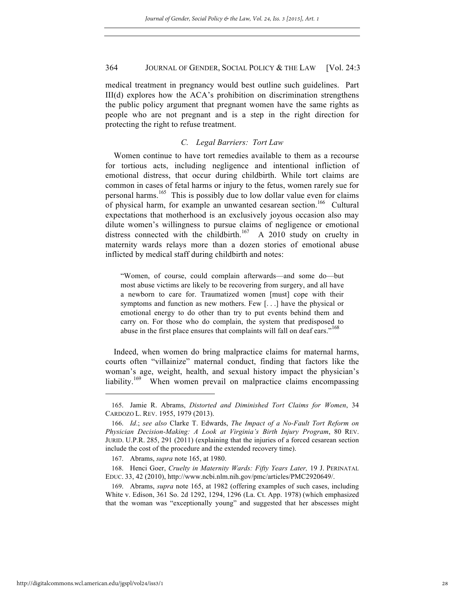medical treatment in pregnancy would best outline such guidelines. Part III(d) explores how the ACA's prohibition on discrimination strengthens the public policy argument that pregnant women have the same rights as people who are not pregnant and is a step in the right direction for protecting the right to refuse treatment.

### *C. Legal Barriers: Tort Law*

Women continue to have tort remedies available to them as a recourse for tortious acts, including negligence and intentional infliction of emotional distress, that occur during childbirth. While tort claims are common in cases of fetal harms or injury to the fetus, women rarely sue for personal harms.165 This is possibly due to low dollar value even for claims of physical harm, for example an unwanted cesarean section.<sup>166</sup> Cultural expectations that motherhood is an exclusively joyous occasion also may dilute women's willingness to pursue claims of negligence or emotional distress connected with the childbirth.<sup>167</sup> A 2010 study on cruelty in maternity wards relays more than a dozen stories of emotional abuse inflicted by medical staff during childbirth and notes:

"Women, of course, could complain afterwards—and some do—but most abuse victims are likely to be recovering from surgery, and all have a newborn to care for. Traumatized women [must] cope with their symptoms and function as new mothers. Few [. . .] have the physical or emotional energy to do other than try to put events behind them and carry on. For those who do complain, the system that predisposed to abuse in the first place ensures that complaints will fall on deaf ears."<sup>168</sup>

Indeed, when women do bring malpractice claims for maternal harms, courts often "villainize" maternal conduct, finding that factors like the woman's age, weight, health, and sexual history impact the physician's liability.<sup>169</sup> When women prevail on malpractice claims encompassing

<sup>165.</sup> Jamie R. Abrams, *Distorted and Diminished Tort Claims for Women*, 34 CARDOZO L. REV. 1955, 1979 (2013).

<sup>166.</sup> *Id*.; *see also* Clarke T. Edwards, *The Impact of a No-Fault Tort Reform on Physician Decision-Making: A Look at Virginia's Birth Injury Program*, 80 REV. JURID. U.P.R. 285, 291 (2011) (explaining that the injuries of a forced cesarean section include the cost of the procedure and the extended recovery time).

<sup>167.</sup> Abrams, *supra* note 165, at 1980.

<sup>168.</sup> Henci Goer, *Cruelty in Maternity Wards: Fifty Years Later,* 19 J. PERINATAL EDUC. 33, 42 (2010), http://www.ncbi.nlm.nih.gov/pmc/articles/PMC2920649/.

<sup>169.</sup> Abrams, *supra* note 165, at 1982 (offering examples of such cases, including White v. Edison, 361 So. 2d 1292, 1294, 1296 (La. Ct. App. 1978) (which emphasized that the woman was "exceptionally young" and suggested that her abscesses might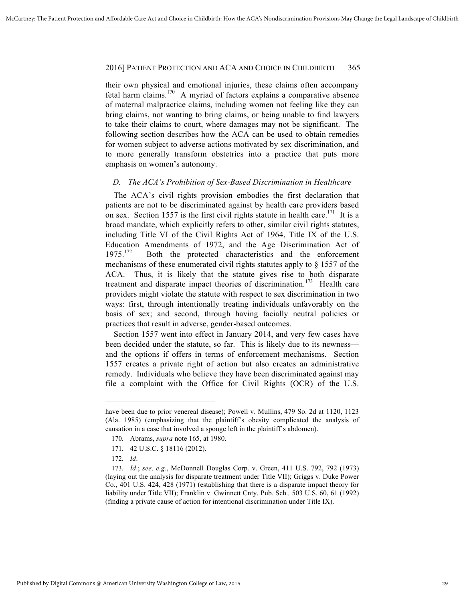their own physical and emotional injuries, these claims often accompany fetal harm claims.170 A myriad of factors explains a comparative absence of maternal malpractice claims, including women not feeling like they can bring claims, not wanting to bring claims, or being unable to find lawyers to take their claims to court, where damages may not be significant. The following section describes how the ACA can be used to obtain remedies for women subject to adverse actions motivated by sex discrimination, and to more generally transform obstetrics into a practice that puts more emphasis on women's autonomy.

### *D. The ACA's Prohibition of Sex-Based Discrimination in Healthcare*

The ACA's civil rights provision embodies the first declaration that patients are not to be discriminated against by health care providers based on sex. Section 1557 is the first civil rights statute in health care.<sup>171</sup> It is a broad mandate, which explicitly refers to other, similar civil rights statutes, including Title VI of the Civil Rights Act of 1964, Title IX of the U.S. Education Amendments of 1972, and the Age Discrimination Act of  $1975$ <sup>172</sup> Both the protected characteristics and the enforcement mechanisms of these enumerated civil rights statutes apply to § 1557 of the ACA. Thus, it is likely that the statute gives rise to both disparate treatment and disparate impact theories of discrimination.<sup>173</sup> Health care providers might violate the statute with respect to sex discrimination in two ways: first, through intentionally treating individuals unfavorably on the basis of sex; and second, through having facially neutral policies or practices that result in adverse, gender-based outcomes.

Section 1557 went into effect in January 2014, and very few cases have been decided under the statute, so far. This is likely due to its newness and the options if offers in terms of enforcement mechanisms. Section 1557 creates a private right of action but also creates an administrative remedy. Individuals who believe they have been discriminated against may file a complaint with the Office for Civil Rights (OCR) of the U.S.

have been due to prior venereal disease); Powell v. Mullins, 479 So. 2d at 1120, 1123 (Ala. 1985) (emphasizing that the plaintiff's obesity complicated the analysis of causation in a case that involved a sponge left in the plaintiff's abdomen).

<sup>170.</sup> Abrams, *supra* note 165, at 1980.

<sup>171.</sup> 42 U.S.C. § 18116 (2012).

<sup>172.</sup> *Id*.

<sup>173.</sup> *Id*.; *see, e.g.*, McDonnell Douglas Corp. v. Green, 411 U.S. 792, 792 (1973) (laying out the analysis for disparate treatment under Title VII); Griggs v. Duke Power Co*.*, 401 U.S. 424, 428 (1971) (establishing that there is a disparate impact theory for liability under Title VII); Franklin v. Gwinnett Cnty. Pub. Sch*.,* 503 U.S. 60, 61 (1992) (finding a private cause of action for intentional discrimination under Title IX).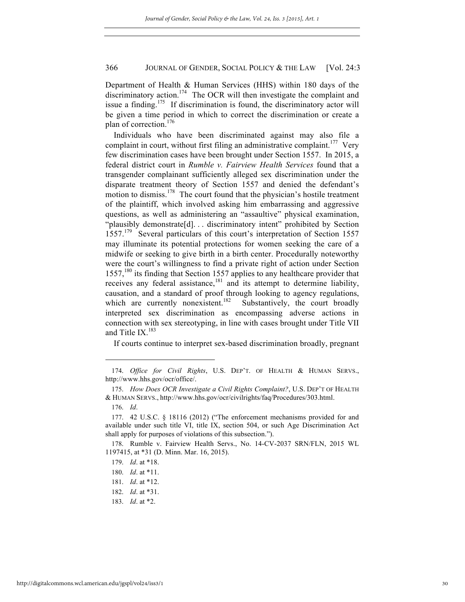Department of Health & Human Services (HHS) within 180 days of the discriminatory action.<sup>174</sup> The OCR will then investigate the complaint and issue a finding.<sup>175</sup> If discrimination is found, the discriminatory actor will be given a time period in which to correct the discrimination or create a plan of correction.<sup>176</sup>

Individuals who have been discriminated against may also file a complaint in court, without first filing an administrative complaint.<sup>177</sup> Very few discrimination cases have been brought under Section 1557. In 2015, a federal district court in *Rumble v. Fairview Health Services* found that a transgender complainant sufficiently alleged sex discrimination under the disparate treatment theory of Section 1557 and denied the defendant's motion to dismiss.<sup>178</sup> The court found that the physician's hostile treatment of the plaintiff, which involved asking him embarrassing and aggressive questions, as well as administering an "assaultive" physical examination, "plausibly demonstrate[d]. . . discriminatory intent" prohibited by Section 1557.<sup>179</sup> Several particulars of this court's interpretation of Section 1557 may illuminate its potential protections for women seeking the care of a midwife or seeking to give birth in a birth center. Procedurally noteworthy were the court's willingness to find a private right of action under Section  $1557<sup>180</sup>$  its finding that Section 1557 applies to any healthcare provider that receives any federal assistance, $181$  and its attempt to determine liability, causation, and a standard of proof through looking to agency regulations, which are currently nonexistent.<sup>182</sup> Substantively, the court broadly interpreted sex discrimination as encompassing adverse actions in connection with sex stereotyping, in line with cases brought under Title VII and Title  $IX.$ <sup>183</sup>

If courts continue to interpret sex-based discrimination broadly, pregnant

<sup>174.</sup> *Office for Civil Rights*, U.S. DEP'T. OF HEALTH & HUMAN SERVS., http://www.hhs.gov/ocr/office/.

<sup>175.</sup> *How Does OCR Investigate a Civil Rights Complaint?*, U.S. DEP'T OF HEALTH & HUMAN SERVS., http://www.hhs.gov/ocr/civilrights/faq/Procedures/303.html.

<sup>176.</sup> *Id*.

<sup>177.</sup> 42 U.S.C. § 18116 (2012) ("The enforcement mechanisms provided for and available under such title VI, title IX, section 504, or such Age Discrimination Act shall apply for purposes of violations of this subsection.").

<sup>178.</sup> Rumble v. Fairview Health Servs., No. 14-CV-2037 SRN/FLN, 2015 WL 1197415, at \*31 (D. Minn. Mar. 16, 2015).

<sup>179.</sup> *Id*. at \*18.

<sup>180.</sup> *Id*. at \*11.

<sup>181.</sup> *Id*. at \*12.

<sup>182.</sup> *Id*. at \*31.

<sup>183.</sup> *Id*. at \*2.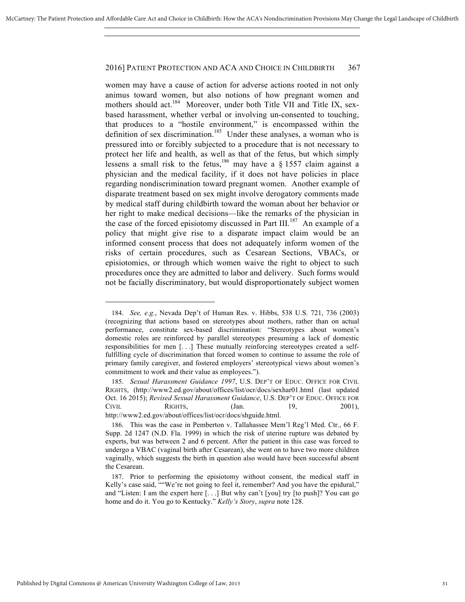women may have a cause of action for adverse actions rooted in not only animus toward women, but also notions of how pregnant women and mothers should act.<sup>184</sup> Moreover, under both Title VII and Title IX, sexbased harassment, whether verbal or involving un-consented to touching, that produces to a "hostile environment," is encompassed within the definition of sex discrimination.<sup>185</sup> Under these analyses, a woman who is pressured into or forcibly subjected to a procedure that is not necessary to protect her life and health, as well as that of the fetus, but which simply lessens a small risk to the fetus, <sup>186</sup> may have a  $\S$  1557 claim against a physician and the medical facility, if it does not have policies in place regarding nondiscrimination toward pregnant women. Another example of disparate treatment based on sex might involve derogatory comments made by medical staff during childbirth toward the woman about her behavior or her right to make medical decisions—like the remarks of the physician in the case of the forced episiotomy discussed in Part III.<sup>187</sup> An example of a policy that might give rise to a disparate impact claim would be an informed consent process that does not adequately inform women of the risks of certain procedures, such as Cesarean Sections, VBACs, or episiotomies, or through which women waive the right to object to such procedures once they are admitted to labor and delivery. Such forms would not be facially discriminatory, but would disproportionately subject women

<sup>184.</sup> *See, e.g.*, Nevada Dep't of Human Res. v. Hibbs, 538 U.S. 721, 736 (2003) (recognizing that actions based on stereotypes about mothers, rather than on actual performance, constitute sex-based discrimination: "Stereotypes about women's domestic roles are reinforced by parallel stereotypes presuming a lack of domestic responsibilities for men [. . .] These mutually reinforcing stereotypes created a selffulfilling cycle of discrimination that forced women to continue to assume the role of primary family caregiver, and fostered employers' stereotypical views about women's commitment to work and their value as employees.").

<sup>185.</sup> *Sexual Harassment Guidance 1997*, U.S. DEP'T OF EDUC. OFFICE FOR CIVIL RIGHTS, (http://www2.ed.gov/about/offices/list/ocr/docs/sexhar01.html (last updated Oct. 16 2015); *Revised Sexual Harassment Guidance*, U.S. DEP'T OF EDUC. OFFICE FOR CIVIL RIGHTS, (Jan. 19, 2001), http://www2.ed.gov/about/offices/list/ocr/docs/shguide.html.

<sup>186.</sup> This was the case in Pemberton v. Tallahassee Mem'l Reg'l Med. Ctr., 66 F. Supp. 2d 1247 (N.D. Fla. 1999) in which the risk of uterine rupture was debated by experts, but was between 2 and 6 percent. After the patient in this case was forced to undergo a VBAC (vaginal birth after Cesarean), she went on to have two more children vaginally, which suggests the birth in question also would have been successful absent the Cesarean.

<sup>187.</sup> Prior to performing the episiotomy without consent, the medical staff in Kelly's case said, ""We're not going to feel it, remember? And you have the epidural," and "Listen: I am the expert here [. . .] But why can't [you] try [to push]? You can go home and do it. You go to Kentucky." *Kelly's Story*, *supra* note 128.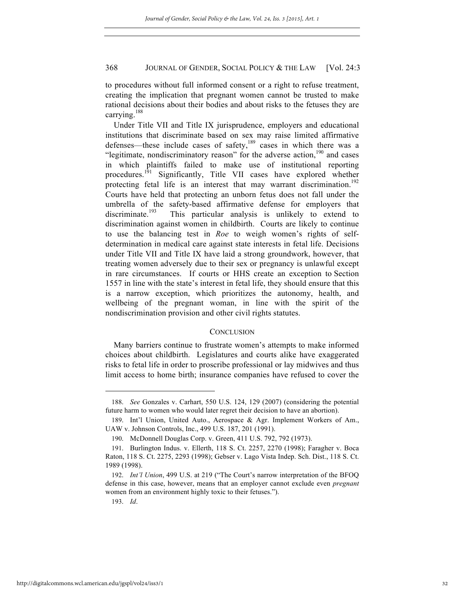to procedures without full informed consent or a right to refuse treatment, creating the implication that pregnant women cannot be trusted to make rational decisions about their bodies and about risks to the fetuses they are carrying.<sup>188</sup>

Under Title VII and Title IX jurisprudence, employers and educational institutions that discriminate based on sex may raise limited affirmative defenses—these include cases of safety, $189$  cases in which there was a "legitimate, nondiscriminatory reason" for the adverse action, $190$  and cases in which plaintiffs failed to make use of institutional reporting procedures.<sup>191</sup> Significantly, Title VII cases have explored whether protecting fetal life is an interest that may warrant discrimination.<sup>192</sup> Courts have held that protecting an unborn fetus does not fall under the umbrella of the safety-based affirmative defense for employers that discriminate.<sup>193</sup> This particular analysis is unlikely to extend to discrimination against women in childbirth. Courts are likely to continue to use the balancing test in *Roe* to weigh women's rights of selfdetermination in medical care against state interests in fetal life. Decisions under Title VII and Title IX have laid a strong groundwork, however, that treating women adversely due to their sex or pregnancy is unlawful except in rare circumstances. If courts or HHS create an exception to Section 1557 in line with the state's interest in fetal life, they should ensure that this is a narrow exception, which prioritizes the autonomy, health, and wellbeing of the pregnant woman, in line with the spirit of the nondiscrimination provision and other civil rights statutes.

### **CONCLUSION**

Many barriers continue to frustrate women's attempts to make informed choices about childbirth. Legislatures and courts alike have exaggerated risks to fetal life in order to proscribe professional or lay midwives and thus limit access to home birth; insurance companies have refused to cover the

<sup>188.</sup> *See* Gonzales v. Carhart, 550 U.S. 124, 129 (2007) (considering the potential future harm to women who would later regret their decision to have an abortion).

<sup>189.</sup> Int'l Union, United Auto., Aerospace & Agr. Implement Workers of Am., UAW v. Johnson Controls, Inc., 499 U.S. 187, 201 (1991).

<sup>190.</sup> McDonnell Douglas Corp. v. Green, 411 U.S. 792, 792 (1973).

<sup>191.</sup> Burlington Indus. v. Ellerth, 118 S. Ct. 2257, 2270 (1998); Faragher v. Boca Raton, 118 S. Ct. 2275, 2293 (1998); Gebser v. Lago Vista Indep. Sch. Dist., 118 S. Ct. 1989 (1998).

<sup>192.</sup> *Int'l Union*, 499 U.S. at 219 ("The Court's narrow interpretation of the BFOQ defense in this case, however, means that an employer cannot exclude even *pregnant* women from an environment highly toxic to their fetuses.").

<sup>193.</sup> *Id*.